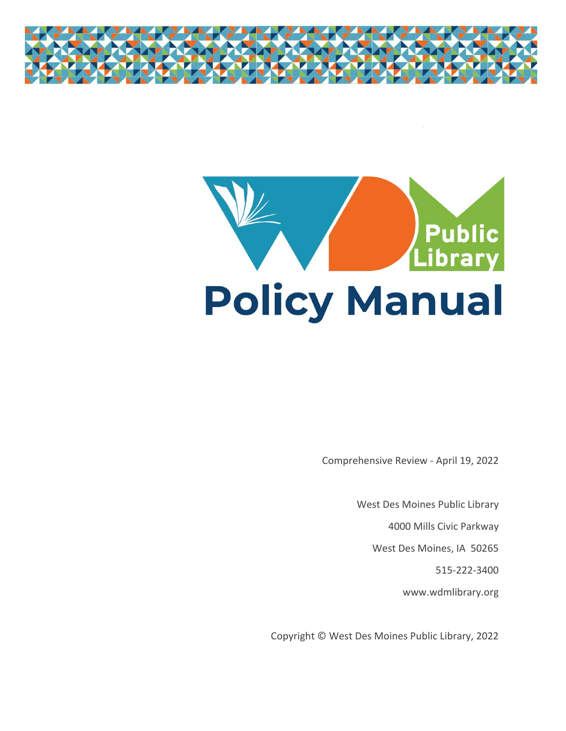



Comprehensive Review - April 19, 2022

West Des Moines Public Library

4000 Mills Civic Parkway

West Des Moines, IA 50265

515-222-3400

www.wdmlibrary.org

Copyright © West Des Moines Public Library, 2022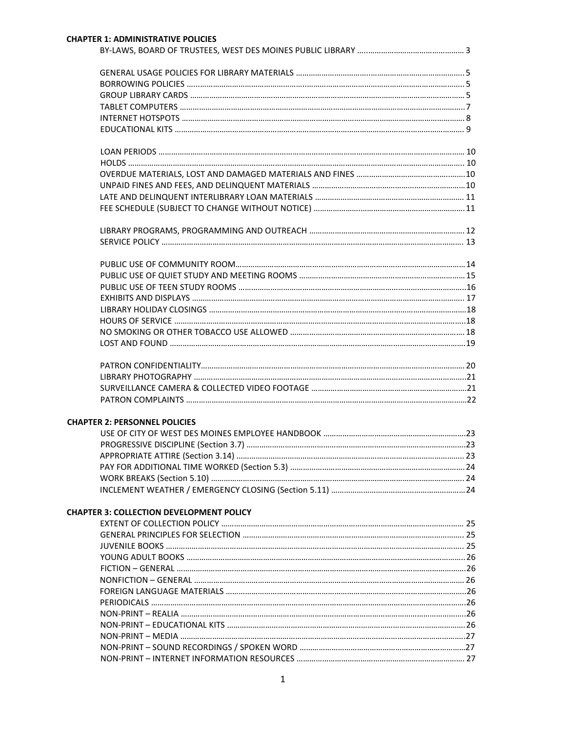| <b>CHAPTER 2: PERSONNEL POLICIES</b>            |  |
|-------------------------------------------------|--|
|                                                 |  |
|                                                 |  |
|                                                 |  |
|                                                 |  |
|                                                 |  |
|                                                 |  |
| <b>CHAPTER 3: COLLECTION DEVELOPMENT POLICY</b> |  |
|                                                 |  |
|                                                 |  |
|                                                 |  |
|                                                 |  |
|                                                 |  |
|                                                 |  |
|                                                 |  |
|                                                 |  |
|                                                 |  |
|                                                 |  |
|                                                 |  |
|                                                 |  |
|                                                 |  |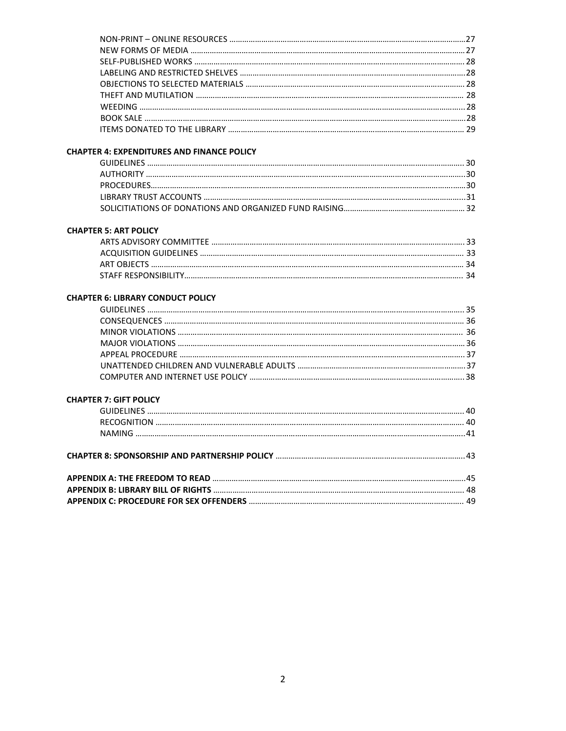## **CHAPTER 4: EXPENDITURES AND FINANCE POLICY**

## **CHAPTER 5: ART POLICY**

# **CHAPTER 6: LIBRARY CONDUCT POLICY**

## **CHAPTER 7: GIFT POLICY**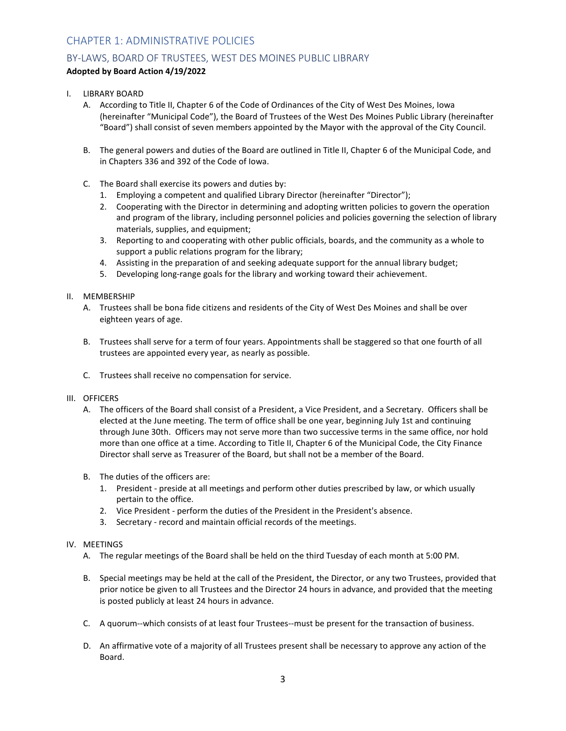# CHAPTER 1: ADMINISTRATIVE POLICIES

# BY-LAWS, BOARD OF TRUSTEES, WEST DES MOINES PUBLIC LIBRARY

## **Adopted by Board Action 4/19/2022**

- I. LIBRARY BOARD
	- A. According to Title II, Chapter 6 of the Code of Ordinances of the City of West Des Moines, Iowa (hereinafter "Municipal Code"), the Board of Trustees of the West Des Moines Public Library (hereinafter "Board") shall consist of seven members appointed by the Mayor with the approval of the City Council.
	- B. The general powers and duties of the Board are outlined in Title II, Chapter 6 of the Municipal Code, and in Chapters 336 and 392 of the Code of Iowa.
	- C. The Board shall exercise its powers and duties by:
		- 1. Employing a competent and qualified Library Director (hereinafter "Director");
		- 2. Cooperating with the Director in determining and adopting written policies to govern the operation and program of the library, including personnel policies and policies governing the selection of library materials, supplies, and equipment;
		- 3. Reporting to and cooperating with other public officials, boards, and the community as a whole to support a public relations program for the library;
		- 4. Assisting in the preparation of and seeking adequate support for the annual library budget;
		- 5. Developing long-range goals for the library and working toward their achievement.

## II. MEMBERSHIP

- A. Trustees shall be bona fide citizens and residents of the City of West Des Moines and shall be over eighteen years of age.
- B. Trustees shall serve for a term of four years. Appointments shall be staggered so that one fourth of all trustees are appointed every year, as nearly as possible.
- C. Trustees shall receive no compensation for service.
- III. OFFICERS
	- A. The officers of the Board shall consist of a President, a Vice President, and a Secretary. Officers shall be elected at the June meeting. The term of office shall be one year, beginning July 1st and continuing through June 30th. Officers may not serve more than two successive terms in the same office, nor hold more than one office at a time. According to Title II, Chapter 6 of the Municipal Code, the City Finance Director shall serve as Treasurer of the Board, but shall not be a member of the Board.
	- B. The duties of the officers are:
		- 1. President preside at all meetings and perform other duties prescribed by law, or which usually pertain to the office.
		- 2. Vice President perform the duties of the President in the President's absence.
		- 3. Secretary record and maintain official records of the meetings.

## IV. MEETINGS

- A. The regular meetings of the Board shall be held on the third Tuesday of each month at 5:00 PM.
- B. Special meetings may be held at the call of the President, the Director, or any two Trustees, provided that prior notice be given to all Trustees and the Director 24 hours in advance, and provided that the meeting is posted publicly at least 24 hours in advance.
- C. A quorum--which consists of at least four Trustees--must be present for the transaction of business.
- D. An affirmative vote of a majority of all Trustees present shall be necessary to approve any action of the Board.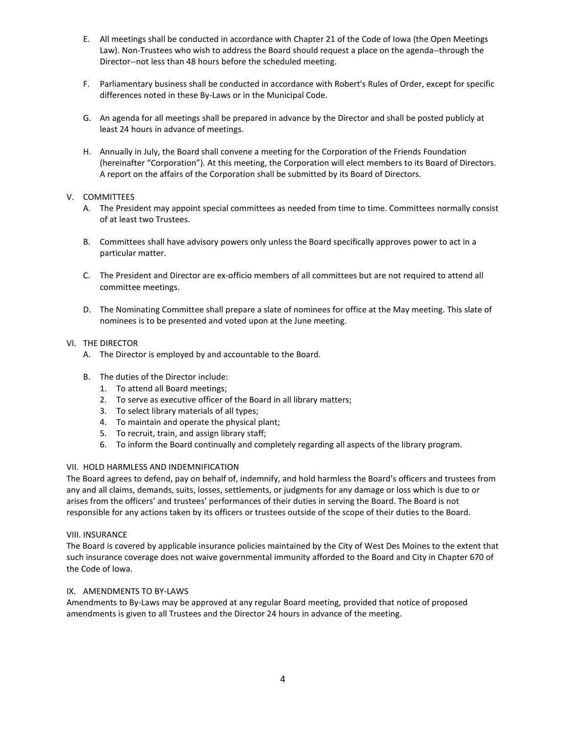- E. All meetings shall be conducted in accordance with Chapter 21 of the Code of Iowa (the Open Meetings Law). Non-Trustees who wish to address the Board should request a place on the agenda--through the Director--not less than 48 hours before the scheduled meeting.
- F. Parliamentary business shall be conducted in accordance with Robert's Rules of Order, except for specific differences noted in these By-Laws or in the Municipal Code.
- G. An agenda for all meetings shall be prepared in advance by the Director and shall be posted publicly at least 24 hours in advance of meetings.
- H. Annually in July, the Board shall convene a meeting for the Corporation of the Friends Foundation (hereinafter "Corporation"). At this meeting, the Corporation will elect members to its Board of Directors. A report on the affairs of the Corporation shall be submitted by its Board of Directors.

## V. COMMITTEES

- A. The President may appoint special committees as needed from time to time. Committees normally consist of at least two Trustees.
- B. Committees shall have advisory powers only unless the Board specifically approves power to act in a particular matter.
- C. The President and Director are ex-officio members of all committees but are not required to attend all committee meetings.
- D. The Nominating Committee shall prepare a slate of nominees for office at the May meeting. This slate of nominees is to be presented and voted upon at the June meeting.

## VI. THE DIRECTOR

- A. The Director is employed by and accountable to the Board.
- B. The duties of the Director include:
	- 1. To attend all Board meetings;
	- 2. To serve as executive officer of the Board in all library matters;
	- 3. To select library materials of all types;
	- 4. To maintain and operate the physical plant;
	- 5. To recruit, train, and assign library staff;
	- 6. To inform the Board continually and completely regarding all aspects of the library program.

#### VII. HOLD HARMLESS AND INDEMNIFICATION

The Board agrees to defend, pay on behalf of, indemnify, and hold harmless the Board's officers and trustees from any and all claims, demands, suits, losses, settlements, or judgments for any damage or loss which is due to or arises from the officers' and trustees' performances of their duties in serving the Board. The Board is not responsible for any actions taken by its officers or trustees outside of the scope of their duties to the Board.

#### VIII. INSURANCE

The Board is covered by applicable insurance policies maintained by the City of West Des Moines to the extent that such insurance coverage does not waive governmental immunity afforded to the Board and City in Chapter 670 of the Code of Iowa.

#### IX. AMENDMENTS TO BY-LAWS

Amendments to By-Laws may be approved at any regular Board meeting, provided that notice of proposed amendments is given to all Trustees and the Director 24 hours in advance of the meeting.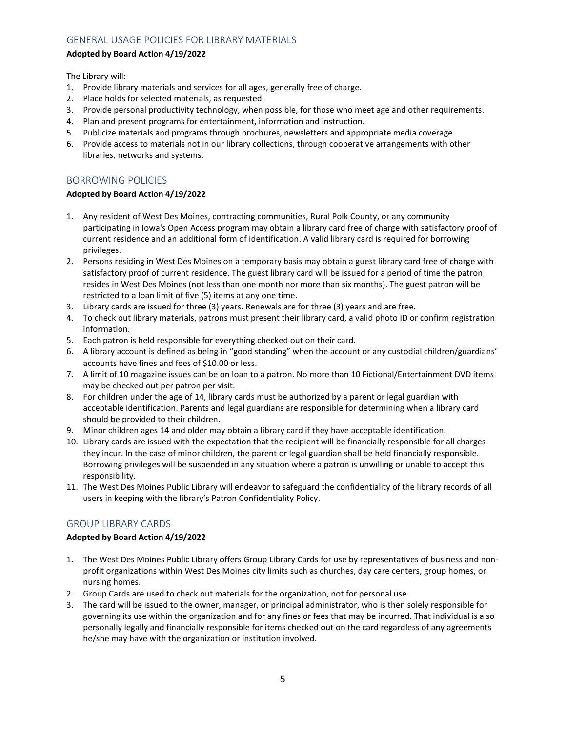# GENERAL USAGE POLICIES FOR LIBRARY MATERIALS

## **Adopted by Board Action 4/19/2022**

The Library will:

- 1. Provide library materials and services for all ages, generally free of charge.
- 2. Place holds for selected materials, as requested.
- 3. Provide personal productivity technology, when possible, for those who meet age and other requirements.
- 4. Plan and present programs for entertainment, information and instruction.
- 5. Publicize materials and programs through brochures, newsletters and appropriate media coverage.
- 6. Provide access to materials not in our library collections, through cooperative arrangements with other libraries, networks and systems.

# BORROWING POLICIES

## **Adopted by Board Action 4/19/2022**

- 1. Any resident of West Des Moines, contracting communities, Rural Polk County, or any community participating in Iowa's Open Access program may obtain a library card free of charge with satisfactory proof of current residence and an additional form of identification. A valid library card is required for borrowing privileges.
- 2. Persons residing in West Des Moines on a temporary basis may obtain a guest library card free of charge with satisfactory proof of current residence. The guest library card will be issued for a period of time the patron resides in West Des Moines (not less than one month nor more than six months). The guest patron will be restricted to a loan limit of five (5) items at any one time.
- 3. Library cards are issued for three (3) years. Renewals are for three (3) years and are free.
- 4. To check out library materials, patrons must present their library card, a valid photo ID or confirm registration information.
- 5. Each patron is held responsible for everything checked out on their card.
- 6. A library account is defined as being in "good standing" when the account or any custodial children/guardians' accounts have fines and fees of \$10.00 or less.
- 7. A limit of 10 magazine issues can be on loan to a patron. No more than 10 Fictional/Entertainment DVD items may be checked out per patron per visit.
- 8. For children under the age of 14, library cards must be authorized by a parent or legal guardian with acceptable identification. Parents and legal guardians are responsible for determining when a library card should be provided to their children.
- 9. Minor children ages 14 and older may obtain a library card if they have acceptable identification.
- 10. Library cards are issued with the expectation that the recipient will be financially responsible for all charges they incur. In the case of minor children, the parent or legal guardian shall be held financially responsible. Borrowing privileges will be suspended in any situation where a patron is unwilling or unable to accept this responsibility.
- 11. The West Des Moines Public Library will endeavor to safeguard the confidentiality of the library records of all users in keeping with the library's Patron Confidentiality Policy.

# GROUP LIBRARY CARDS

## **Adopted by Board Action 4/19/2022**

- 1. The West Des Moines Public Library offers Group Library Cards for use by representatives of business and nonprofit organizations within West Des Moines city limits such as churches, day care centers, group homes, or nursing homes.
- 2. Group Cards are used to check out materials for the organization, not for personal use.
- 3. The card will be issued to the owner, manager, or principal administrator, who is then solely responsible for governing its use within the organization and for any fines or fees that may be incurred. That individual is also personally legally and financially responsible for items checked out on the card regardless of any agreements he/she may have with the organization or institution involved.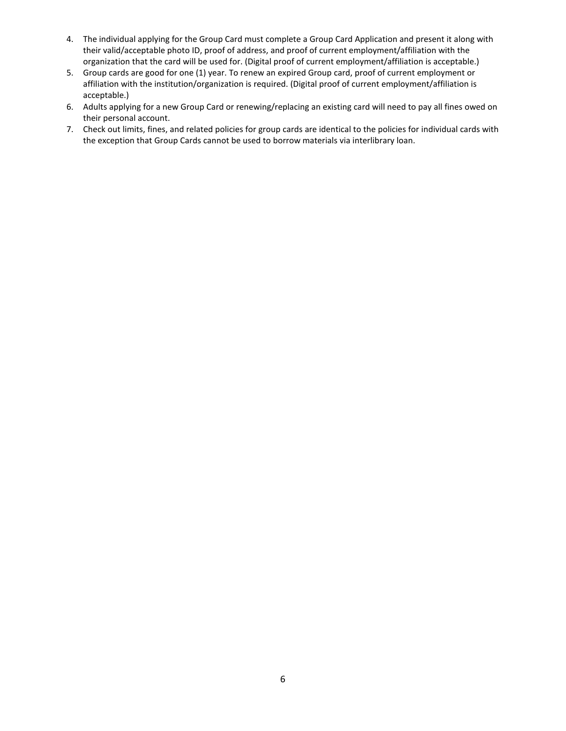- 4. The individual applying for the Group Card must complete a Group Card Application and present it along with their valid/acceptable photo ID, proof of address, and proof of current employment/affiliation with the organization that the card will be used for. (Digital proof of current employment/affiliation is acceptable.)
- 5. Group cards are good for one (1) year. To renew an expired Group card, proof of current employment or affiliation with the institution/organization is required. (Digital proof of current employment/affiliation is acceptable.)
- 6. Adults applying for a new Group Card or renewing/replacing an existing card will need to pay all fines owed on their personal account.
- 7. Check out limits, fines, and related policies for group cards are identical to the policies for individual cards with the exception that Group Cards cannot be used to borrow materials via interlibrary loan.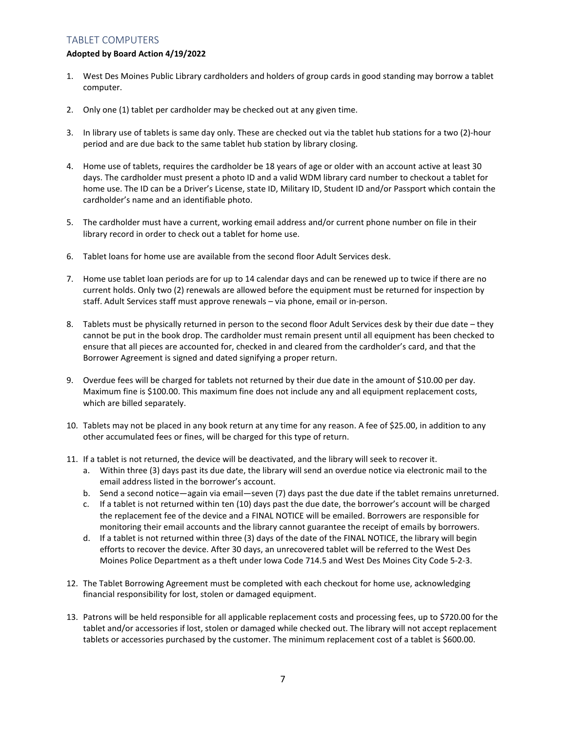# TABLET COMPUTERS

## **Adopted by Board Action 4/19/2022**

- 1. West Des Moines Public Library cardholders and holders of group cards in good standing may borrow a tablet computer.
- 2. Only one (1) tablet per cardholder may be checked out at any given time.
- 3. In library use of tablets is same day only. These are checked out via the tablet hub stations for a two (2)-hour period and are due back to the same tablet hub station by library closing.
- 4. Home use of tablets, requires the cardholder be 18 years of age or older with an account active at least 30 days. The cardholder must present a photo ID and a valid WDM library card number to checkout a tablet for home use. The ID can be a Driver's License, state ID, Military ID, Student ID and/or Passport which contain the cardholder's name and an identifiable photo.
- 5. The cardholder must have a current, working email address and/or current phone number on file in their library record in order to check out a tablet for home use.
- 6. Tablet loans for home use are available from the second floor Adult Services desk.
- 7. Home use tablet loan periods are for up to 14 calendar days and can be renewed up to twice if there are no current holds. Only two (2) renewals are allowed before the equipment must be returned for inspection by staff. Adult Services staff must approve renewals – via phone, email or in-person.
- 8. Tablets must be physically returned in person to the second floor Adult Services desk by their due date they cannot be put in the book drop. The cardholder must remain present until all equipment has been checked to ensure that all pieces are accounted for, checked in and cleared from the cardholder's card, and that the Borrower Agreement is signed and dated signifying a proper return.
- 9. Overdue fees will be charged for tablets not returned by their due date in the amount of \$10.00 per day. Maximum fine is \$100.00. This maximum fine does not include any and all equipment replacement costs, which are billed separately.
- 10. Tablets may not be placed in any book return at any time for any reason. A fee of \$25.00, in addition to any other accumulated fees or fines, will be charged for this type of return.
- 11. If a tablet is not returned, the device will be deactivated, and the library will seek to recover it.
	- a. Within three (3) days past its due date, the library will send an overdue notice via electronic mail to the email address listed in the borrower's account.
	- b. Send a second notice—again via email—seven (7) days past the due date if the tablet remains unreturned.
	- c. If a tablet is not returned within ten (10) days past the due date, the borrower's account will be charged the replacement fee of the device and a FINAL NOTICE will be emailed. Borrowers are responsible for monitoring their email accounts and the library cannot guarantee the receipt of emails by borrowers.
	- d. If a tablet is not returned within three (3) days of the date of the FINAL NOTICE, the library will begin efforts to recover the device. After 30 days, an unrecovered tablet will be referred to the West Des Moines Police Department as a theft under Iowa Code 714.5 and West Des Moines City Code 5-2-3.
- 12. The Tablet Borrowing Agreement must be completed with each checkout for home use, acknowledging financial responsibility for lost, stolen or damaged equipment.
- 13. Patrons will be held responsible for all applicable replacement costs and processing fees, up to \$720.00 for the tablet and/or accessories if lost, stolen or damaged while checked out. The library will not accept replacement tablets or accessories purchased by the customer. The minimum replacement cost of a tablet is \$600.00.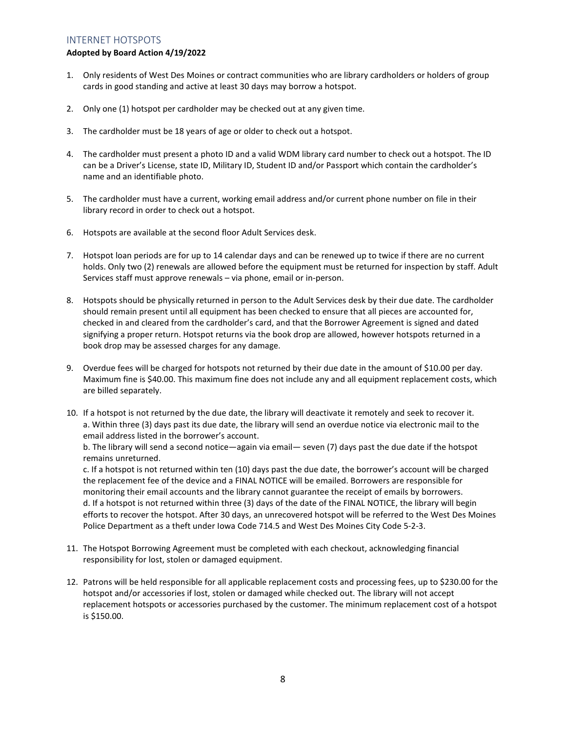# INTERNET HOTSPOTS

### **Adopted by Board Action 4/19/2022**

- 1. Only residents of West Des Moines or contract communities who are library cardholders or holders of group cards in good standing and active at least 30 days may borrow a hotspot.
- 2. Only one (1) hotspot per cardholder may be checked out at any given time.
- 3. The cardholder must be 18 years of age or older to check out a hotspot.
- 4. The cardholder must present a photo ID and a valid WDM library card number to check out a hotspot. The ID can be a Driver's License, state ID, Military ID, Student ID and/or Passport which contain the cardholder's name and an identifiable photo.
- 5. The cardholder must have a current, working email address and/or current phone number on file in their library record in order to check out a hotspot.
- 6. Hotspots are available at the second floor Adult Services desk.
- 7. Hotspot loan periods are for up to 14 calendar days and can be renewed up to twice if there are no current holds. Only two (2) renewals are allowed before the equipment must be returned for inspection by staff. Adult Services staff must approve renewals – via phone, email or in-person.
- 8. Hotspots should be physically returned in person to the Adult Services desk by their due date. The cardholder should remain present until all equipment has been checked to ensure that all pieces are accounted for, checked in and cleared from the cardholder's card, and that the Borrower Agreement is signed and dated signifying a proper return. Hotspot returns via the book drop are allowed, however hotspots returned in a book drop may be assessed charges for any damage.
- 9. Overdue fees will be charged for hotspots not returned by their due date in the amount of \$10.00 per day. Maximum fine is \$40.00. This maximum fine does not include any and all equipment replacement costs, which are billed separately.
- 10. If a hotspot is not returned by the due date, the library will deactivate it remotely and seek to recover it. a. Within three (3) days past its due date, the library will send an overdue notice via electronic mail to the email address listed in the borrower's account.

b. The library will send a second notice—again via email— seven (7) days past the due date if the hotspot remains unreturned.

c. If a hotspot is not returned within ten (10) days past the due date, the borrower's account will be charged the replacement fee of the device and a FINAL NOTICE will be emailed. Borrowers are responsible for monitoring their email accounts and the library cannot guarantee the receipt of emails by borrowers. d. If a hotspot is not returned within three (3) days of the date of the FINAL NOTICE, the library will begin efforts to recover the hotspot. After 30 days, an unrecovered hotspot will be referred to the West Des Moines Police Department as a theft under Iowa Code 714.5 and West Des Moines City Code 5-2-3.

- 11. The Hotspot Borrowing Agreement must be completed with each checkout, acknowledging financial responsibility for lost, stolen or damaged equipment.
- 12. Patrons will be held responsible for all applicable replacement costs and processing fees, up to \$230.00 for the hotspot and/or accessories if lost, stolen or damaged while checked out. The library will not accept replacement hotspots or accessories purchased by the customer. The minimum replacement cost of a hotspot is \$150.00.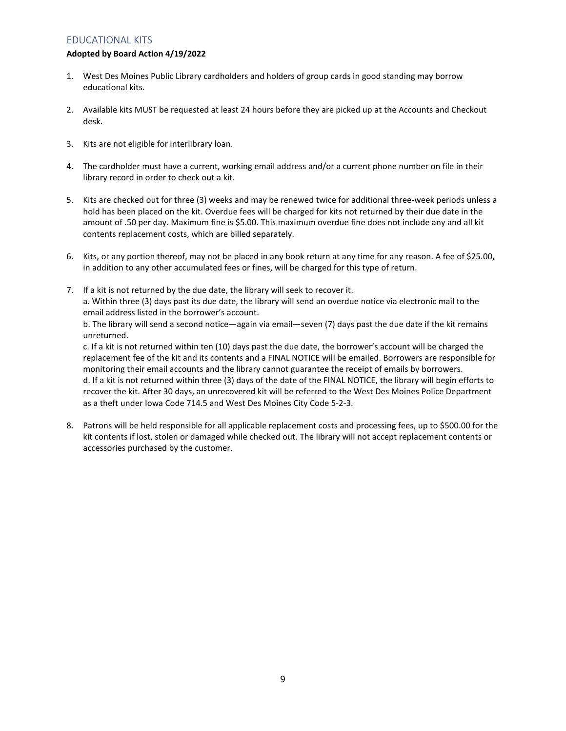# EDUCATIONAL KITS

## **Adopted by Board Action 4/19/2022**

- 1. West Des Moines Public Library cardholders and holders of group cards in good standing may borrow educational kits.
- 2. Available kits MUST be requested at least 24 hours before they are picked up at the Accounts and Checkout desk.
- 3. Kits are not eligible for interlibrary loan.
- 4. The cardholder must have a current, working email address and/or a current phone number on file in their library record in order to check out a kit.
- 5. Kits are checked out for three (3) weeks and may be renewed twice for additional three-week periods unless a hold has been placed on the kit. Overdue fees will be charged for kits not returned by their due date in the amount of .50 per day. Maximum fine is \$5.00. This maximum overdue fine does not include any and all kit contents replacement costs, which are billed separately.
- 6. Kits, or any portion thereof, may not be placed in any book return at any time for any reason. A fee of \$25.00, in addition to any other accumulated fees or fines, will be charged for this type of return.
- 7. If a kit is not returned by the due date, the library will seek to recover it. a. Within three (3) days past its due date, the library will send an overdue notice via electronic mail to the email address listed in the borrower's account.

b. The library will send a second notice—again via email—seven (7) days past the due date if the kit remains unreturned.

c. If a kit is not returned within ten (10) days past the due date, the borrower's account will be charged the replacement fee of the kit and its contents and a FINAL NOTICE will be emailed. Borrowers are responsible for monitoring their email accounts and the library cannot guarantee the receipt of emails by borrowers. d. If a kit is not returned within three (3) days of the date of the FINAL NOTICE, the library will begin efforts to recover the kit. After 30 days, an unrecovered kit will be referred to the West Des Moines Police Department as a theft under Iowa Code 714.5 and West Des Moines City Code 5-2-3.

8. Patrons will be held responsible for all applicable replacement costs and processing fees, up to \$500.00 for the kit contents if lost, stolen or damaged while checked out. The library will not accept replacement contents or accessories purchased by the customer.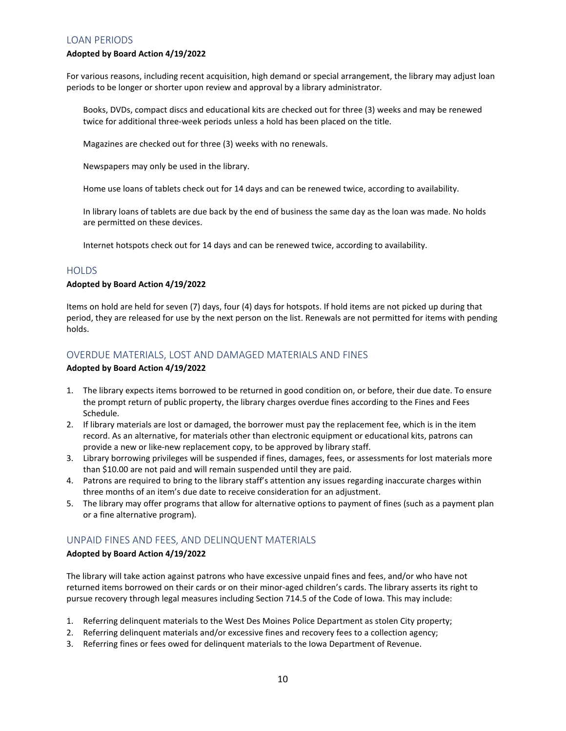## LOAN PERIODS

### **Adopted by Board Action 4/19/2022**

For various reasons, including recent acquisition, high demand or special arrangement, the library may adjust loan periods to be longer or shorter upon review and approval by a library administrator.

Books, DVDs, compact discs and educational kits are checked out for three (3) weeks and may be renewed twice for additional three-week periods unless a hold has been placed on the title.

Magazines are checked out for three (3) weeks with no renewals.

Newspapers may only be used in the library.

Home use loans of tablets check out for 14 days and can be renewed twice, according to availability.

In library loans of tablets are due back by the end of business the same day as the loan was made. No holds are permitted on these devices.

Internet hotspots check out for 14 days and can be renewed twice, according to availability.

## **HOLDS**

## **Adopted by Board Action 4/19/2022**

Items on hold are held for seven (7) days, four (4) days for hotspots. If hold items are not picked up during that period, they are released for use by the next person on the list. Renewals are not permitted for items with pending holds.

# OVERDUE MATERIALS, LOST AND DAMAGED MATERIALS AND FINES

### **Adopted by Board Action 4/19/2022**

- 1. The library expects items borrowed to be returned in good condition on, or before, their due date. To ensure the prompt return of public property, the library charges overdue fines according to the Fines and Fees Schedule.
- 2. If library materials are lost or damaged, the borrower must pay the replacement fee, which is in the item record. As an alternative, for materials other than electronic equipment or educational kits, patrons can provide a new or like-new replacement copy, to be approved by library staff.
- 3. Library borrowing privileges will be suspended if fines, damages, fees, or assessments for lost materials more than \$10.00 are not paid and will remain suspended until they are paid.
- 4. Patrons are required to bring to the library staff's attention any issues regarding inaccurate charges within three months of an item's due date to receive consideration for an adjustment.
- 5. The library may offer programs that allow for alternative options to payment of fines (such as a payment plan or a fine alternative program).

# UNPAID FINES AND FEES, AND DELINQUENT MATERIALS

## **Adopted by Board Action 4/19/2022**

The library will take action against patrons who have excessive unpaid fines and fees, and/or who have not returned items borrowed on their cards or on their minor-aged children's cards. The library asserts its right to pursue recovery through legal measures including Section 714.5 of the Code of Iowa. This may include:

- 1. Referring delinquent materials to the West Des Moines Police Department as stolen City property;
- 2. Referring delinquent materials and/or excessive fines and recovery fees to a collection agency;
- 3. Referring fines or fees owed for delinquent materials to the Iowa Department of Revenue.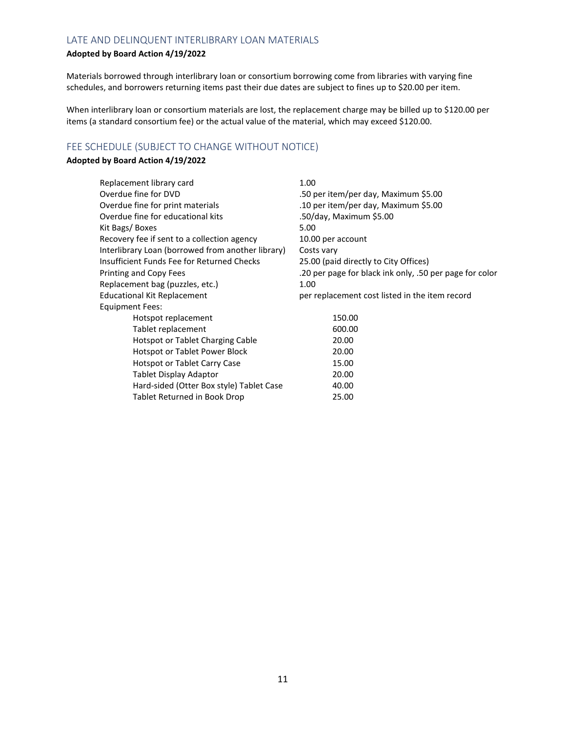# LATE AND DELINQUENT INTERLIBRARY LOAN MATERIALS

## **Adopted by Board Action 4/19/2022**

Materials borrowed through interlibrary loan or consortium borrowing come from libraries with varying fine schedules, and borrowers returning items past their due dates are subject to fines up to \$20.00 per item.

When interlibrary loan or consortium materials are lost, the replacement charge may be billed up to \$120.00 per items (a standard consortium fee) or the actual value of the material, which may exceed \$120.00.

# FEE SCHEDULE (SUBJECT TO CHANGE WITHOUT NOTICE)

## **Adopted by Board Action 4/19/2022**

| Replacement library card                          | 1.00                                                    |
|---------------------------------------------------|---------------------------------------------------------|
| Overdue fine for DVD                              | .50 per item/per day, Maximum \$5.00                    |
| Overdue fine for print materials                  | .10 per item/per day, Maximum \$5.00                    |
| Overdue fine for educational kits                 | .50/day, Maximum \$5.00                                 |
| Kit Bags/Boxes                                    | 5.00                                                    |
| Recovery fee if sent to a collection agency       | 10.00 per account                                       |
| Interlibrary Loan (borrowed from another library) | Costs vary                                              |
| Insufficient Funds Fee for Returned Checks        | 25.00 (paid directly to City Offices)                   |
| Printing and Copy Fees                            | .20 per page for black ink only, .50 per page for color |
| Replacement bag (puzzles, etc.)                   | 1.00                                                    |
| <b>Educational Kit Replacement</b>                | per replacement cost listed in the item record          |
| Equipment Fees:                                   |                                                         |
| Hotspot replacement                               | 150.00                                                  |
| Tablet replacement                                | 600.00                                                  |
| Hotspot or Tablet Charging Cable                  | 20.00                                                   |
| Hotspot or Tablet Power Block                     | 20.00                                                   |
| Hotspot or Tablet Carry Case                      | 15.00                                                   |
| Tablet Display Adaptor                            | 20.00                                                   |
| Hard-sided (Otter Box style) Tablet Case          | 40.00                                                   |
| Tablet Returned in Book Drop                      | 25.00                                                   |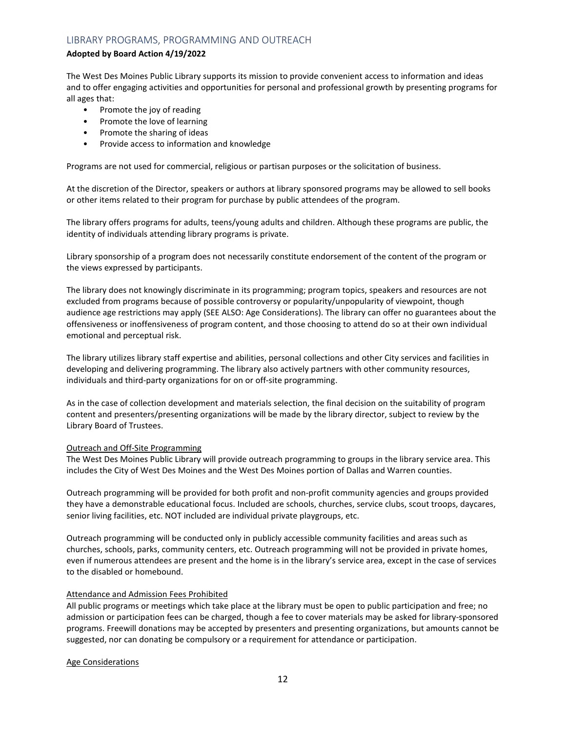# LIBRARY PROGRAMS, PROGRAMMING AND OUTREACH

## **Adopted by Board Action 4/19/2022**

The West Des Moines Public Library supports its mission to provide convenient access to information and ideas and to offer engaging activities and opportunities for personal and professional growth by presenting programs for all ages that:

- Promote the joy of reading
- Promote the love of learning
- Promote the sharing of ideas
- Provide access to information and knowledge

Programs are not used for commercial, religious or partisan purposes or the solicitation of business.

At the discretion of the Director, speakers or authors at library sponsored programs may be allowed to sell books or other items related to their program for purchase by public attendees of the program.

The library offers programs for adults, teens/young adults and children. Although these programs are public, the identity of individuals attending library programs is private.

Library sponsorship of a program does not necessarily constitute endorsement of the content of the program or the views expressed by participants.

The library does not knowingly discriminate in its programming; program topics, speakers and resources are not excluded from programs because of possible controversy or popularity/unpopularity of viewpoint, though audience age restrictions may apply (SEE ALSO: Age Considerations). The library can offer no guarantees about the offensiveness or inoffensiveness of program content, and those choosing to attend do so at their own individual emotional and perceptual risk.

The library utilizes library staff expertise and abilities, personal collections and other City services and facilities in developing and delivering programming. The library also actively partners with other community resources, individuals and third-party organizations for on or off-site programming.

As in the case of collection development and materials selection, the final decision on the suitability of program content and presenters/presenting organizations will be made by the library director, subject to review by the Library Board of Trustees.

#### Outreach and Off-Site Programming

The West Des Moines Public Library will provide outreach programming to groups in the library service area. This includes the City of West Des Moines and the West Des Moines portion of Dallas and Warren counties.

Outreach programming will be provided for both profit and non-profit community agencies and groups provided they have a demonstrable educational focus. Included are schools, churches, service clubs, scout troops, daycares, senior living facilities, etc. NOT included are individual private playgroups, etc.

Outreach programming will be conducted only in publicly accessible community facilities and areas such as churches, schools, parks, community centers, etc. Outreach programming will not be provided in private homes, even if numerous attendees are present and the home is in the library's service area, except in the case of services to the disabled or homebound.

#### Attendance and Admission Fees Prohibited

All public programs or meetings which take place at the library must be open to public participation and free; no admission or participation fees can be charged, though a fee to cover materials may be asked for library-sponsored programs. Freewill donations may be accepted by presenters and presenting organizations, but amounts cannot be suggested, nor can donating be compulsory or a requirement for attendance or participation.

Age Considerations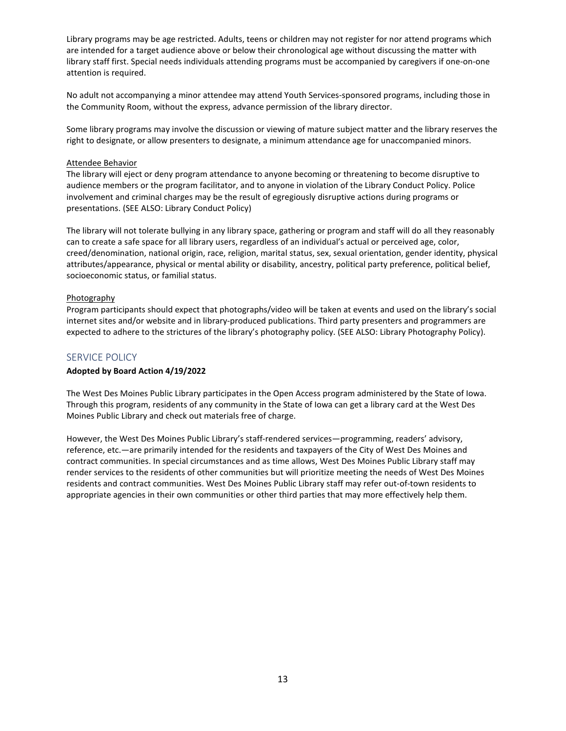Library programs may be age restricted. Adults, teens or children may not register for nor attend programs which are intended for a target audience above or below their chronological age without discussing the matter with library staff first. Special needs individuals attending programs must be accompanied by caregivers if one-on-one attention is required.

No adult not accompanying a minor attendee may attend Youth Services-sponsored programs, including those in the Community Room, without the express, advance permission of the library director.

Some library programs may involve the discussion or viewing of mature subject matter and the library reserves the right to designate, or allow presenters to designate, a minimum attendance age for unaccompanied minors.

#### Attendee Behavior

The library will eject or deny program attendance to anyone becoming or threatening to become disruptive to audience members or the program facilitator, and to anyone in violation of the Library Conduct Policy. Police involvement and criminal charges may be the result of egregiously disruptive actions during programs or presentations. (SEE ALSO: Library Conduct Policy)

The library will not tolerate bullying in any library space, gathering or program and staff will do all they reasonably can to create a safe space for all library users, regardless of an individual's actual or perceived age, color, creed/denomination, national origin, race, religion, marital status, sex, sexual orientation, gender identity, physical attributes/appearance, physical or mental ability or disability, ancestry, political party preference, political belief, socioeconomic status, or familial status.

## **Photography**

Program participants should expect that photographs/video will be taken at events and used on the library's social internet sites and/or website and in library-produced publications. Third party presenters and programmers are expected to adhere to the strictures of the library's photography policy. (SEE ALSO: Library Photography Policy).

## SERVICE POLICY

## **Adopted by Board Action 4/19/2022**

The West Des Moines Public Library participates in the Open Access program administered by the State of Iowa. Through this program, residents of any community in the State of Iowa can get a library card at the West Des Moines Public Library and check out materials free of charge.

However, the West Des Moines Public Library's staff-rendered services—programming, readers' advisory, reference, etc.—are primarily intended for the residents and taxpayers of the City of West Des Moines and contract communities. In special circumstances and as time allows, West Des Moines Public Library staff may render services to the residents of other communities but will prioritize meeting the needs of West Des Moines residents and contract communities. West Des Moines Public Library staff may refer out-of-town residents to appropriate agencies in their own communities or other third parties that may more effectively help them.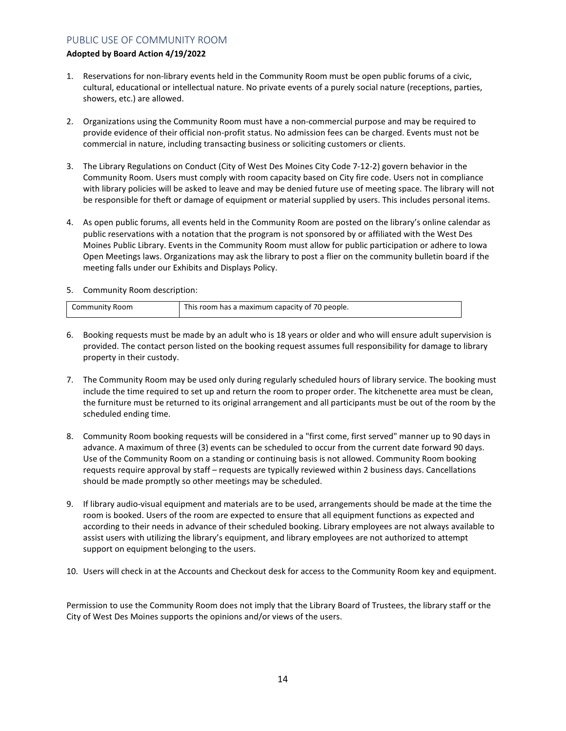# PUBLIC USE OF COMMUNITY ROOM

## **Adopted by Board Action 4/19/2022**

- 1. Reservations for non-library events held in the Community Room must be open public forums of a civic, cultural, educational or intellectual nature. No private events of a purely social nature (receptions, parties, showers, etc.) are allowed.
- 2. Organizations using the Community Room must have a non-commercial purpose and may be required to provide evidence of their official non-profit status. No admission fees can be charged. Events must not be commercial in nature, including transacting business or soliciting customers or clients.
- 3. The Library Regulations on Conduct (City of West Des Moines City Code 7-12-2) govern behavior in the Community Room. Users must comply with room capacity based on City fire code. Users not in compliance with library policies will be asked to leave and may be denied future use of meeting space. The library will not be responsible for theft or damage of equipment or material supplied by users. This includes personal items.
- 4. As open public forums, all events held in the Community Room are posted on the library's online calendar as public reservations with a notation that the program is not sponsored by or affiliated with the West Des Moines Public Library. Events in the Community Room must allow for public participation or adhere to Iowa Open Meetings laws. Organizations may ask the library to post a flier on the community bulletin board if the meeting falls under our Exhibits and Displays Policy.
- 5. Community Room description:

| Community Room | This room has a maximum capacity of 70 people. |
|----------------|------------------------------------------------|

- 6. Booking requests must be made by an adult who is 18 years or older and who will ensure adult supervision is provided. The contact person listed on the booking request assumes full responsibility for damage to library property in their custody.
- 7. The Community Room may be used only during regularly scheduled hours of library service. The booking must include the time required to set up and return the room to proper order. The kitchenette area must be clean, the furniture must be returned to its original arrangement and all participants must be out of the room by the scheduled ending time.
- 8. Community Room booking requests will be considered in a "first come, first served" manner up to 90 days in advance. A maximum of three (3) events can be scheduled to occur from the current date forward 90 days. Use of the Community Room on a standing or continuing basis is not allowed. Community Room booking requests require approval by staff – requests are typically reviewed within 2 business days. Cancellations should be made promptly so other meetings may be scheduled.
- 9. If library audio-visual equipment and materials are to be used, arrangements should be made at the time the room is booked. Users of the room are expected to ensure that all equipment functions as expected and according to their needs in advance of their scheduled booking. Library employees are not always available to assist users with utilizing the library's equipment, and library employees are not authorized to attempt support on equipment belonging to the users.
- 10. Users will check in at the Accounts and Checkout desk for access to the Community Room key and equipment.

Permission to use the Community Room does not imply that the Library Board of Trustees, the library staff or the City of West Des Moines supports the opinions and/or views of the users.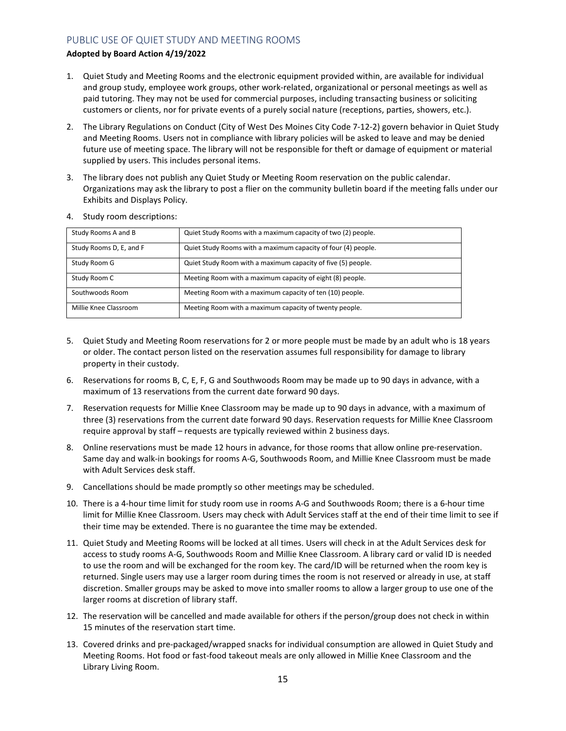# PUBLIC USE OF QUIET STUDY AND MEETING ROOMS

## **Adopted by Board Action 4/19/2022**

- 1. Quiet Study and Meeting Rooms and the electronic equipment provided within, are available for individual and group study, employee work groups, other work-related, organizational or personal meetings as well as paid tutoring. They may not be used for commercial purposes, including transacting business or soliciting customers or clients, nor for private events of a purely social nature (receptions, parties, showers, etc.).
- 2. The Library Regulations on Conduct (City of West Des Moines City Code 7-12-2) govern behavior in Quiet Study and Meeting Rooms. Users not in compliance with library policies will be asked to leave and may be denied future use of meeting space. The library will not be responsible for theft or damage of equipment or material supplied by users. This includes personal items.
- 3. The library does not publish any Quiet Study or Meeting Room reservation on the public calendar. Organizations may ask the library to post a flier on the community bulletin board if the meeting falls under our Exhibits and Displays Policy.

| Study Rooms A and B     | Quiet Study Rooms with a maximum capacity of two (2) people.  |
|-------------------------|---------------------------------------------------------------|
| Study Rooms D, E, and F | Quiet Study Rooms with a maximum capacity of four (4) people. |
| Study Room G            | Quiet Study Room with a maximum capacity of five (5) people.  |
| Study Room C            | Meeting Room with a maximum capacity of eight (8) people.     |
| Southwoods Room         | Meeting Room with a maximum capacity of ten (10) people.      |
| Millie Knee Classroom   | Meeting Room with a maximum capacity of twenty people.        |

4. Study room descriptions:

- 5. Quiet Study and Meeting Room reservations for 2 or more people must be made by an adult who is 18 years or older. The contact person listed on the reservation assumes full responsibility for damage to library property in their custody.
- 6. Reservations for rooms B, C, E, F, G and Southwoods Room may be made up to 90 days in advance, with a maximum of 13 reservations from the current date forward 90 days.
- 7. Reservation requests for Millie Knee Classroom may be made up to 90 days in advance, with a maximum of three (3) reservations from the current date forward 90 days. Reservation requests for Millie Knee Classroom require approval by staff – requests are typically reviewed within 2 business days.
- 8. Online reservations must be made 12 hours in advance, for those rooms that allow online pre-reservation. Same day and walk-in bookings for rooms A-G, Southwoods Room, and Millie Knee Classroom must be made with Adult Services desk staff.
- 9. Cancellations should be made promptly so other meetings may be scheduled.
- 10. There is a 4-hour time limit for study room use in rooms A-G and Southwoods Room; there is a 6-hour time limit for Millie Knee Classroom. Users may check with Adult Services staff at the end of their time limit to see if their time may be extended. There is no guarantee the time may be extended.
- 11. Quiet Study and Meeting Rooms will be locked at all times. Users will check in at the Adult Services desk for access to study rooms A-G, Southwoods Room and Millie Knee Classroom. A library card or valid ID is needed to use the room and will be exchanged for the room key. The card/ID will be returned when the room key is returned. Single users may use a larger room during times the room is not reserved or already in use, at staff discretion. Smaller groups may be asked to move into smaller rooms to allow a larger group to use one of the larger rooms at discretion of library staff.
- 12. The reservation will be cancelled and made available for others if the person/group does not check in within 15 minutes of the reservation start time.
- 13. Covered drinks and pre-packaged/wrapped snacks for individual consumption are allowed in Quiet Study and Meeting Rooms. Hot food or fast-food takeout meals are only allowed in Millie Knee Classroom and the Library Living Room.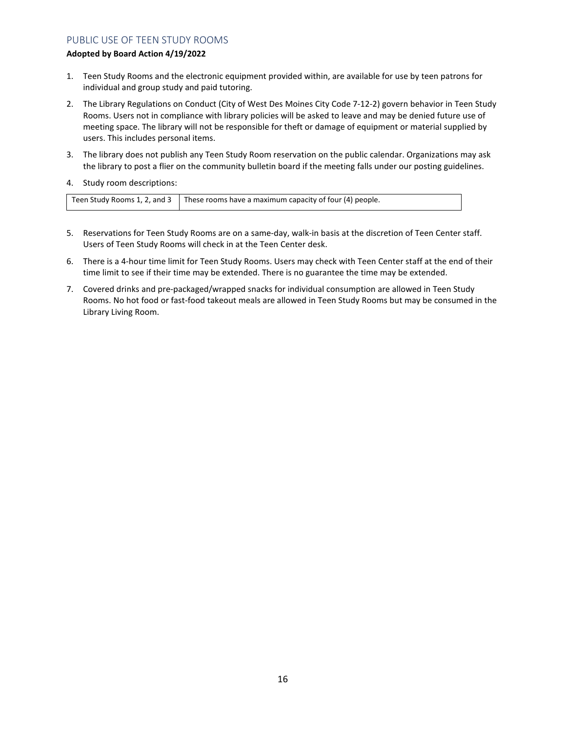# PUBLIC USE OF TEEN STUDY ROOMS

## **Adopted by Board Action 4/19/2022**

- 1. Teen Study Rooms and the electronic equipment provided within, are available for use by teen patrons for individual and group study and paid tutoring.
- 2. The Library Regulations on Conduct (City of West Des Moines City Code 7-12-2) govern behavior in Teen Study Rooms. Users not in compliance with library policies will be asked to leave and may be denied future use of meeting space. The library will not be responsible for theft or damage of equipment or material supplied by users. This includes personal items.
- 3. The library does not publish any Teen Study Room reservation on the public calendar. Organizations may ask the library to post a flier on the community bulletin board if the meeting falls under our posting guidelines.
- 4. Study room descriptions:

| Teen Study Rooms 1, 2, and 3 | These rooms have a maximum capacity of four (4) people. |
|------------------------------|---------------------------------------------------------|
|------------------------------|---------------------------------------------------------|

- 5. Reservations for Teen Study Rooms are on a same-day, walk-in basis at the discretion of Teen Center staff. Users of Teen Study Rooms will check in at the Teen Center desk.
- 6. There is a 4-hour time limit for Teen Study Rooms. Users may check with Teen Center staff at the end of their time limit to see if their time may be extended. There is no guarantee the time may be extended.
- 7. Covered drinks and pre-packaged/wrapped snacks for individual consumption are allowed in Teen Study Rooms. No hot food or fast-food takeout meals are allowed in Teen Study Rooms but may be consumed in the Library Living Room.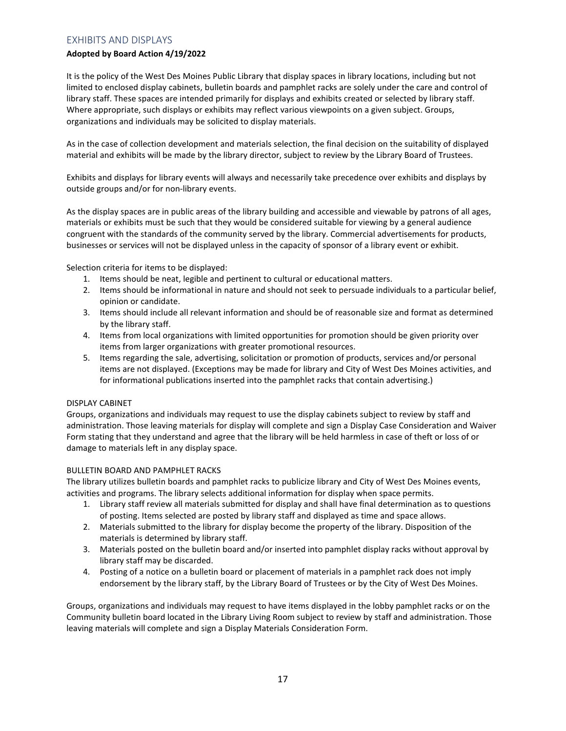# EXHIBITS AND DISPLAYS

## **Adopted by Board Action 4/19/2022**

It is the policy of the West Des Moines Public Library that display spaces in library locations, including but not limited to enclosed display cabinets, bulletin boards and pamphlet racks are solely under the care and control of library staff. These spaces are intended primarily for displays and exhibits created or selected by library staff. Where appropriate, such displays or exhibits may reflect various viewpoints on a given subject. Groups, organizations and individuals may be solicited to display materials.

As in the case of collection development and materials selection, the final decision on the suitability of displayed material and exhibits will be made by the library director, subject to review by the Library Board of Trustees.

Exhibits and displays for library events will always and necessarily take precedence over exhibits and displays by outside groups and/or for non-library events.

As the display spaces are in public areas of the library building and accessible and viewable by patrons of all ages, materials or exhibits must be such that they would be considered suitable for viewing by a general audience congruent with the standards of the community served by the library. Commercial advertisements for products, businesses or services will not be displayed unless in the capacity of sponsor of a library event or exhibit.

Selection criteria for items to be displayed:

- 1. Items should be neat, legible and pertinent to cultural or educational matters.
- 2. Items should be informational in nature and should not seek to persuade individuals to a particular belief, opinion or candidate.
- 3. Items should include all relevant information and should be of reasonable size and format as determined by the library staff.
- 4. Items from local organizations with limited opportunities for promotion should be given priority over items from larger organizations with greater promotional resources.
- 5. Items regarding the sale, advertising, solicitation or promotion of products, services and/or personal items are not displayed. (Exceptions may be made for library and City of West Des Moines activities, and for informational publications inserted into the pamphlet racks that contain advertising.)

## DISPLAY CABINET

Groups, organizations and individuals may request to use the display cabinets subject to review by staff and administration. Those leaving materials for display will complete and sign a Display Case Consideration and Waiver Form stating that they understand and agree that the library will be held harmless in case of theft or loss of or damage to materials left in any display space.

## BULLETIN BOARD AND PAMPHLET RACKS

The library utilizes bulletin boards and pamphlet racks to publicize library and City of West Des Moines events, activities and programs. The library selects additional information for display when space permits.

- 1. Library staff review all materials submitted for display and shall have final determination as to questions of posting. Items selected are posted by library staff and displayed as time and space allows.
- 2. Materials submitted to the library for display become the property of the library. Disposition of the materials is determined by library staff.
- 3. Materials posted on the bulletin board and/or inserted into pamphlet display racks without approval by library staff may be discarded.
- 4. Posting of a notice on a bulletin board or placement of materials in a pamphlet rack does not imply endorsement by the library staff, by the Library Board of Trustees or by the City of West Des Moines.

Groups, organizations and individuals may request to have items displayed in the lobby pamphlet racks or on the Community bulletin board located in the Library Living Room subject to review by staff and administration. Those leaving materials will complete and sign a Display Materials Consideration Form.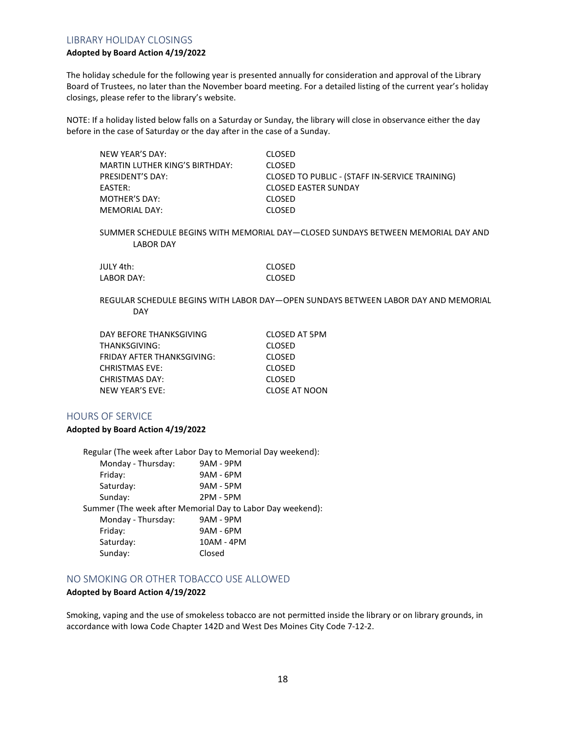## LIBRARY HOLIDAY CLOSINGS

## **Adopted by Board Action 4/19/2022**

The holiday schedule for the following year is presented annually for consideration and approval of the Library Board of Trustees, no later than the November board meeting. For a detailed listing of the current year's holiday closings, please refer to the library's website.

NOTE: If a holiday listed below falls on a Saturday or Sunday, the library will close in observance either the day before in the case of Saturday or the day after in the case of a Sunday.

| NEW YEAR'S DAY:                       | <b>CLOSED</b>                                  |
|---------------------------------------|------------------------------------------------|
| <b>MARTIN LUTHER KING'S BIRTHDAY:</b> | <b>CLOSED</b>                                  |
| <b>PRESIDENT'S DAY:</b>               | CLOSED TO PUBLIC - (STAFF IN-SERVICE TRAINING) |
| EASTER:                               | <b>CLOSED EASTER SUNDAY</b>                    |
| MOTHER'S DAY:                         | <b>CLOSED</b>                                  |
| MEMORIAL DAY:                         | <b>CLOSED</b>                                  |

SUMMER SCHEDULE BEGINS WITH MEMORIAL DAY—CLOSED SUNDAYS BETWEEN MEMORIAL DAY AND LABOR DAY

| JULY 4th:  | CLOSED |
|------------|--------|
| LABOR DAY: | CLOSED |

REGULAR SCHEDULE BEGINS WITH LABOR DAY—OPEN SUNDAYS BETWEEN LABOR DAY AND MEMORIAL DAY

| CLOSED AT 5PM        |
|----------------------|
| <b>CLOSED</b>        |
| <b>CLOSED</b>        |
| <b>CLOSED</b>        |
| <b>CLOSED</b>        |
| <b>CLOSE AT NOON</b> |
|                      |

## HOURS OF SERVICE

#### **Adopted by Board Action 4/19/2022**

Regular (The week after Labor Day to Memorial Day weekend): Monday - Thursday: 9AM - 9PM Friday: 9AM - 6PM Saturday: 9AM - 5PM Sunday: 2PM - 5PM Summer (The week after Memorial Day to Labor Day weekend): Monday - Thursday: 9AM - 9PM Friday: 9AM - 6PM Saturday: 10AM - 4PM Sunday: Closed

# NO SMOKING OR OTHER TOBACCO USE ALLOWED

#### **Adopted by Board Action 4/19/2022**

Smoking, vaping and the use of smokeless tobacco are not permitted inside the library or on library grounds, in accordance with Iowa Code Chapter 142D and West Des Moines City Code 7-12-2.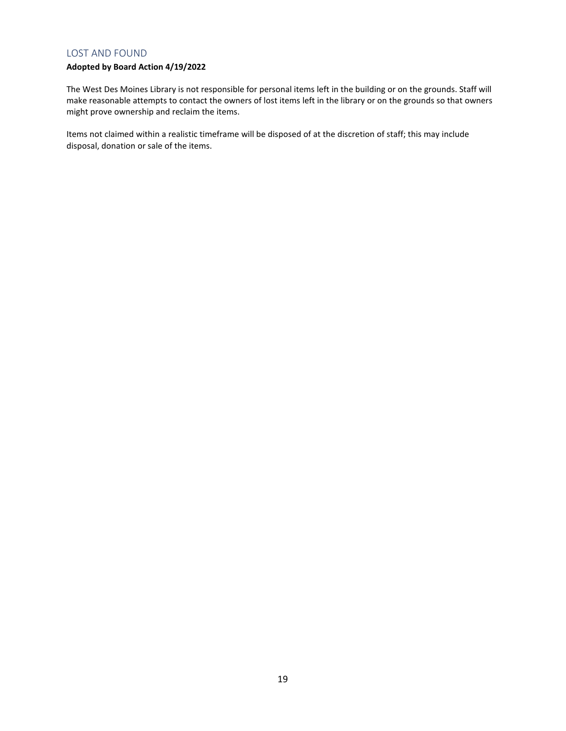## LOST AND FOUND

# **Adopted by Board Action 4/19/2022**

The West Des Moines Library is not responsible for personal items left in the building or on the grounds. Staff will make reasonable attempts to contact the owners of lost items left in the library or on the grounds so that owners might prove ownership and reclaim the items.

Items not claimed within a realistic timeframe will be disposed of at the discretion of staff; this may include disposal, donation or sale of the items.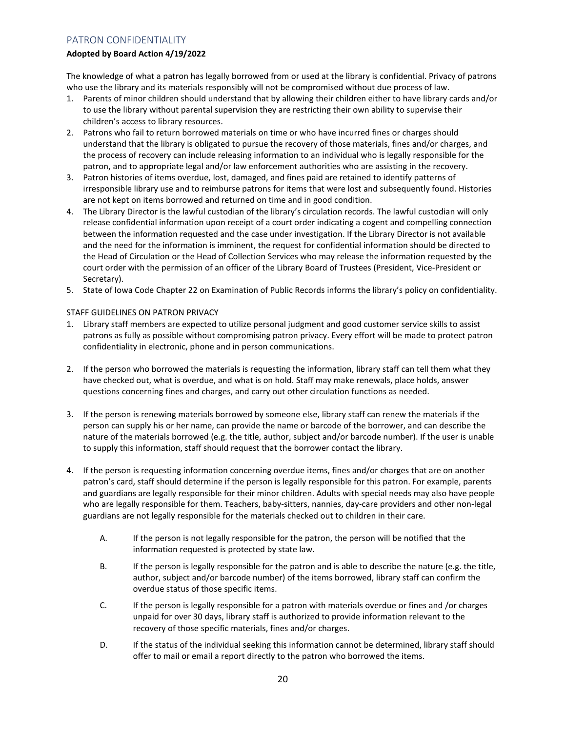# PATRON CONFIDENTIALITY

## **Adopted by Board Action 4/19/2022**

The knowledge of what a patron has legally borrowed from or used at the library is confidential. Privacy of patrons who use the library and its materials responsibly will not be compromised without due process of law.

- 1. Parents of minor children should understand that by allowing their children either to have library cards and/or to use the library without parental supervision they are restricting their own ability to supervise their children's access to library resources.
- 2. Patrons who fail to return borrowed materials on time or who have incurred fines or charges should understand that the library is obligated to pursue the recovery of those materials, fines and/or charges, and the process of recovery can include releasing information to an individual who is legally responsible for the patron, and to appropriate legal and/or law enforcement authorities who are assisting in the recovery.
- 3. Patron histories of items overdue, lost, damaged, and fines paid are retained to identify patterns of irresponsible library use and to reimburse patrons for items that were lost and subsequently found. Histories are not kept on items borrowed and returned on time and in good condition.
- 4. The Library Director is the lawful custodian of the library's circulation records. The lawful custodian will only release confidential information upon receipt of a court order indicating a cogent and compelling connection between the information requested and the case under investigation. If the Library Director is not available and the need for the information is imminent, the request for confidential information should be directed to the Head of Circulation or the Head of Collection Services who may release the information requested by the court order with the permission of an officer of the Library Board of Trustees (President, Vice-President or Secretary).
- 5. State of Iowa Code Chapter 22 on Examination of Public Records informs the library's policy on confidentiality.

## STAFF GUIDELINES ON PATRON PRIVACY

- 1. Library staff members are expected to utilize personal judgment and good customer service skills to assist patrons as fully as possible without compromising patron privacy. Every effort will be made to protect patron confidentiality in electronic, phone and in person communications.
- 2. If the person who borrowed the materials is requesting the information, library staff can tell them what they have checked out, what is overdue, and what is on hold. Staff may make renewals, place holds, answer questions concerning fines and charges, and carry out other circulation functions as needed.
- 3. If the person is renewing materials borrowed by someone else, library staff can renew the materials if the person can supply his or her name, can provide the name or barcode of the borrower, and can describe the nature of the materials borrowed (e.g. the title, author, subject and/or barcode number). If the user is unable to supply this information, staff should request that the borrower contact the library.
- 4. If the person is requesting information concerning overdue items, fines and/or charges that are on another patron's card, staff should determine if the person is legally responsible for this patron. For example, parents and guardians are legally responsible for their minor children. Adults with special needs may also have people who are legally responsible for them. Teachers, baby-sitters, nannies, day-care providers and other non-legal guardians are not legally responsible for the materials checked out to children in their care.
	- A. If the person is not legally responsible for the patron, the person will be notified that the information requested is protected by state law.
	- B. If the person is legally responsible for the patron and is able to describe the nature (e.g. the title, author, subject and/or barcode number) of the items borrowed, library staff can confirm the overdue status of those specific items.
	- C. If the person is legally responsible for a patron with materials overdue or fines and /or charges unpaid for over 30 days, library staff is authorized to provide information relevant to the recovery of those specific materials, fines and/or charges.
	- D. If the status of the individual seeking this information cannot be determined, library staff should offer to mail or email a report directly to the patron who borrowed the items.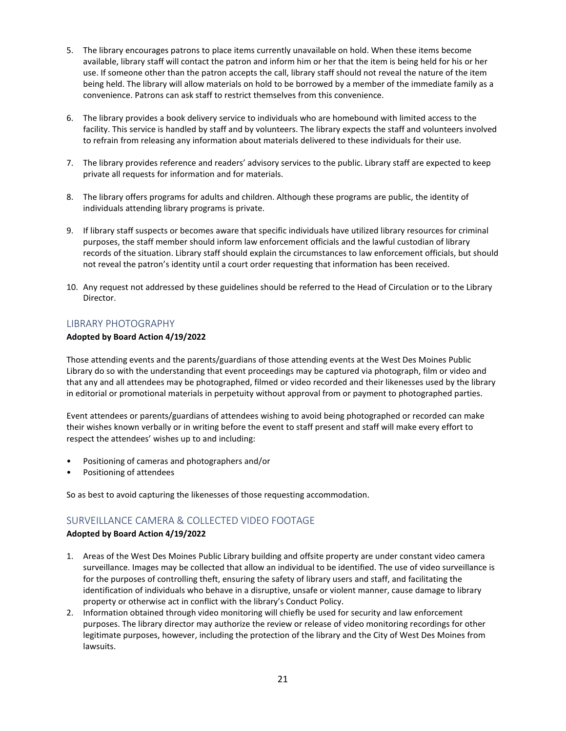- 5. The library encourages patrons to place items currently unavailable on hold. When these items become available, library staff will contact the patron and inform him or her that the item is being held for his or her use. If someone other than the patron accepts the call, library staff should not reveal the nature of the item being held. The library will allow materials on hold to be borrowed by a member of the immediate family as a convenience. Patrons can ask staff to restrict themselves from this convenience.
- 6. The library provides a book delivery service to individuals who are homebound with limited access to the facility. This service is handled by staff and by volunteers. The library expects the staff and volunteers involved to refrain from releasing any information about materials delivered to these individuals for their use.
- 7. The library provides reference and readers' advisory services to the public. Library staff are expected to keep private all requests for information and for materials.
- 8. The library offers programs for adults and children. Although these programs are public, the identity of individuals attending library programs is private.
- 9. If library staff suspects or becomes aware that specific individuals have utilized library resources for criminal purposes, the staff member should inform law enforcement officials and the lawful custodian of library records of the situation. Library staff should explain the circumstances to law enforcement officials, but should not reveal the patron's identity until a court order requesting that information has been received.
- 10. Any request not addressed by these guidelines should be referred to the Head of Circulation or to the Library Director.

## LIBRARY PHOTOGRAPHY

#### **Adopted by Board Action 4/19/2022**

Those attending events and the parents/guardians of those attending events at the West Des Moines Public Library do so with the understanding that event proceedings may be captured via photograph, film or video and that any and all attendees may be photographed, filmed or video recorded and their likenesses used by the library in editorial or promotional materials in perpetuity without approval from or payment to photographed parties.

Event attendees or parents/guardians of attendees wishing to avoid being photographed or recorded can make their wishes known verbally or in writing before the event to staff present and staff will make every effort to respect the attendees' wishes up to and including:

- Positioning of cameras and photographers and/or
- Positioning of attendees

So as best to avoid capturing the likenesses of those requesting accommodation.

# SURVEILLANCE CAMERA & COLLECTED VIDEO FOOTAGE

#### **Adopted by Board Action 4/19/2022**

- 1. Areas of the West Des Moines Public Library building and offsite property are under constant video camera surveillance. Images may be collected that allow an individual to be identified. The use of video surveillance is for the purposes of controlling theft, ensuring the safety of library users and staff, and facilitating the identification of individuals who behave in a disruptive, unsafe or violent manner, cause damage to library property or otherwise act in conflict with the library's Conduct Policy.
- 2. Information obtained through video monitoring will chiefly be used for security and law enforcement purposes. The library director may authorize the review or release of video monitoring recordings for other legitimate purposes, however, including the protection of the library and the City of West Des Moines from lawsuits.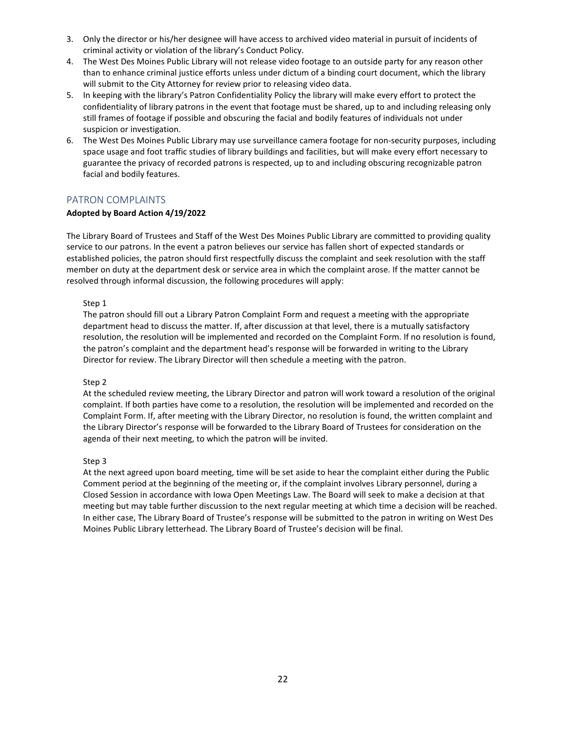- 3. Only the director or his/her designee will have access to archived video material in pursuit of incidents of criminal activity or violation of the library's Conduct Policy.
- 4. The West Des Moines Public Library will not release video footage to an outside party for any reason other than to enhance criminal justice efforts unless under dictum of a binding court document, which the library will submit to the City Attorney for review prior to releasing video data.
- 5. In keeping with the library's Patron Confidentiality Policy the library will make every effort to protect the confidentiality of library patrons in the event that footage must be shared, up to and including releasing only still frames of footage if possible and obscuring the facial and bodily features of individuals not under suspicion or investigation.
- 6. The West Des Moines Public Library may use surveillance camera footage for non-security purposes, including space usage and foot traffic studies of library buildings and facilities, but will make every effort necessary to guarantee the privacy of recorded patrons is respected, up to and including obscuring recognizable patron facial and bodily features.

# PATRON COMPLAINTS

## **Adopted by Board Action 4/19/2022**

The Library Board of Trustees and Staff of the West Des Moines Public Library are committed to providing quality service to our patrons. In the event a patron believes our service has fallen short of expected standards or established policies, the patron should first respectfully discuss the complaint and seek resolution with the staff member on duty at the department desk or service area in which the complaint arose. If the matter cannot be resolved through informal discussion, the following procedures will apply:

## Step 1

The patron should fill out a Library Patron Complaint Form and request a meeting with the appropriate department head to discuss the matter. If, after discussion at that level, there is a mutually satisfactory resolution, the resolution will be implemented and recorded on the Complaint Form. If no resolution is found, the patron's complaint and the department head's response will be forwarded in writing to the Library Director for review. The Library Director will then schedule a meeting with the patron.

## Step 2

At the scheduled review meeting, the Library Director and patron will work toward a resolution of the original complaint. If both parties have come to a resolution, the resolution will be implemented and recorded on the Complaint Form. If, after meeting with the Library Director, no resolution is found, the written complaint and the Library Director's response will be forwarded to the Library Board of Trustees for consideration on the agenda of their next meeting, to which the patron will be invited.

## Step 3

At the next agreed upon board meeting, time will be set aside to hear the complaint either during the Public Comment period at the beginning of the meeting or, if the complaint involves Library personnel, during a Closed Session in accordance with Iowa Open Meetings Law. The Board will seek to make a decision at that meeting but may table further discussion to the next regular meeting at which time a decision will be reached. In either case, The Library Board of Trustee's response will be submitted to the patron in writing on West Des Moines Public Library letterhead. The Library Board of Trustee's decision will be final.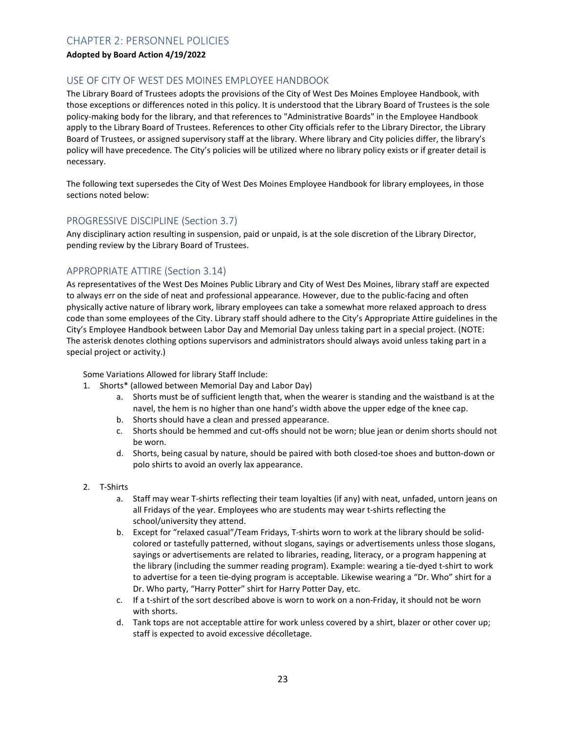# CHAPTER 2: PERSONNEL POLICIES

## **Adopted by Board Action 4/19/2022**

## USE OF CITY OF WEST DES MOINES EMPLOYEE HANDBOOK

The Library Board of Trustees adopts the provisions of the City of West Des Moines Employee Handbook, with those exceptions or differences noted in this policy. It is understood that the Library Board of Trustees is the sole policy-making body for the library, and that references to "Administrative Boards" in the Employee Handbook apply to the Library Board of Trustees. References to other City officials refer to the Library Director, the Library Board of Trustees, or assigned supervisory staff at the library. Where library and City policies differ, the library's policy will have precedence. The City's policies will be utilized where no library policy exists or if greater detail is necessary.

The following text supersedes the City of West Des Moines Employee Handbook for library employees, in those sections noted below:

# PROGRESSIVE DISCIPLINE (Section 3.7)

Any disciplinary action resulting in suspension, paid or unpaid, is at the sole discretion of the Library Director, pending review by the Library Board of Trustees.

# APPROPRIATE ATTIRE (Section 3.14)

As representatives of the West Des Moines Public Library and City of West Des Moines, library staff are expected to always err on the side of neat and professional appearance. However, due to the public-facing and often physically active nature of library work, library employees can take a somewhat more relaxed approach to dress code than some employees of the City. Library staff should adhere to the City's Appropriate Attire guidelines in the City's Employee Handbook between Labor Day and Memorial Day unless taking part in a special project. (NOTE: The asterisk denotes clothing options supervisors and administrators should always avoid unless taking part in a special project or activity.)

Some Variations Allowed for library Staff Include:

- 1. Shorts\* (allowed between Memorial Day and Labor Day)
	- a. Shorts must be of sufficient length that, when the wearer is standing and the waistband is at the navel, the hem is no higher than one hand's width above the upper edge of the knee cap.
	- b. Shorts should have a clean and pressed appearance.
	- c. Shorts should be hemmed and cut-offs should not be worn; blue jean or denim shorts should not be worn.
	- d. Shorts, being casual by nature, should be paired with both closed-toe shoes and button-down or polo shirts to avoid an overly lax appearance.
- 2. T-Shirts
	- a. Staff may wear T-shirts reflecting their team loyalties (if any) with neat, unfaded, untorn jeans on all Fridays of the year. Employees who are students may wear t-shirts reflecting the school/university they attend.
	- b. Except for "relaxed casual"/Team Fridays, T-shirts worn to work at the library should be solidcolored or tastefully patterned, without slogans, sayings or advertisements unless those slogans, sayings or advertisements are related to libraries, reading, literacy, or a program happening at the library (including the summer reading program). Example: wearing a tie-dyed t-shirt to work to advertise for a teen tie-dying program is acceptable. Likewise wearing a "Dr. Who" shirt for a Dr. Who party, "Harry Potter" shirt for Harry Potter Day, etc.
	- c. If a t-shirt of the sort described above is worn to work on a non-Friday, it should not be worn with shorts.
	- d. Tank tops are not acceptable attire for work unless covered by a shirt, blazer or other cover up; staff is expected to avoid excessive décolletage.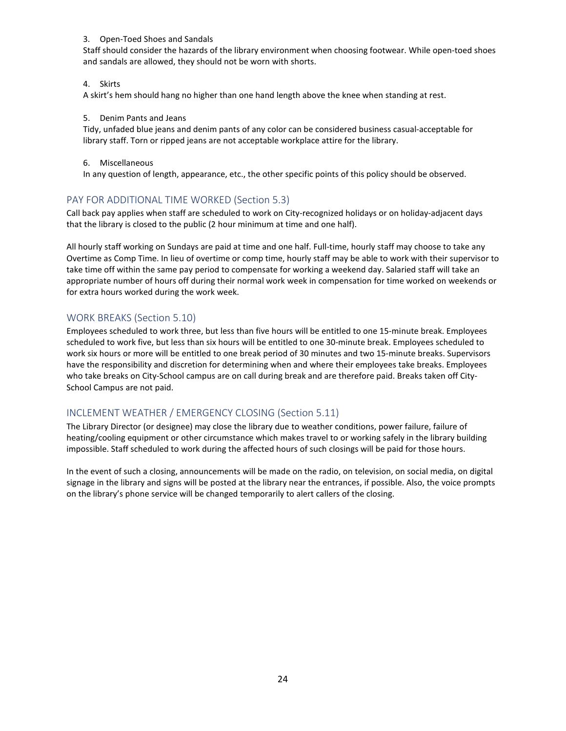### 3. Open-Toed Shoes and Sandals

Staff should consider the hazards of the library environment when choosing footwear. While open-toed shoes and sandals are allowed, they should not be worn with shorts.

## 4. Skirts

A skirt's hem should hang no higher than one hand length above the knee when standing at rest.

## 5. Denim Pants and Jeans

Tidy, unfaded blue jeans and denim pants of any color can be considered business casual-acceptable for library staff. Torn or ripped jeans are not acceptable workplace attire for the library.

## 6. Miscellaneous

In any question of length, appearance, etc., the other specific points of this policy should be observed.

# PAY FOR ADDITIONAL TIME WORKED (Section 5.3)

Call back pay applies when staff are scheduled to work on City-recognized holidays or on holiday-adjacent days that the library is closed to the public (2 hour minimum at time and one half).

All hourly staff working on Sundays are paid at time and one half. Full-time, hourly staff may choose to take any Overtime as Comp Time. In lieu of overtime or comp time, hourly staff may be able to work with their supervisor to take time off within the same pay period to compensate for working a weekend day. Salaried staff will take an appropriate number of hours off during their normal work week in compensation for time worked on weekends or for extra hours worked during the work week.

# WORK BREAKS (Section 5.10)

Employees scheduled to work three, but less than five hours will be entitled to one 15-minute break. Employees scheduled to work five, but less than six hours will be entitled to one 30-minute break. Employees scheduled to work six hours or more will be entitled to one break period of 30 minutes and two 15-minute breaks. Supervisors have the responsibility and discretion for determining when and where their employees take breaks. Employees who take breaks on City-School campus are on call during break and are therefore paid. Breaks taken off City-School Campus are not paid.

# INCLEMENT WEATHER / EMERGENCY CLOSING (Section 5.11)

The Library Director (or designee) may close the library due to weather conditions, power failure, failure of heating/cooling equipment or other circumstance which makes travel to or working safely in the library building impossible. Staff scheduled to work during the affected hours of such closings will be paid for those hours.

In the event of such a closing, announcements will be made on the radio, on television, on social media, on digital signage in the library and signs will be posted at the library near the entrances, if possible. Also, the voice prompts on the library's phone service will be changed temporarily to alert callers of the closing.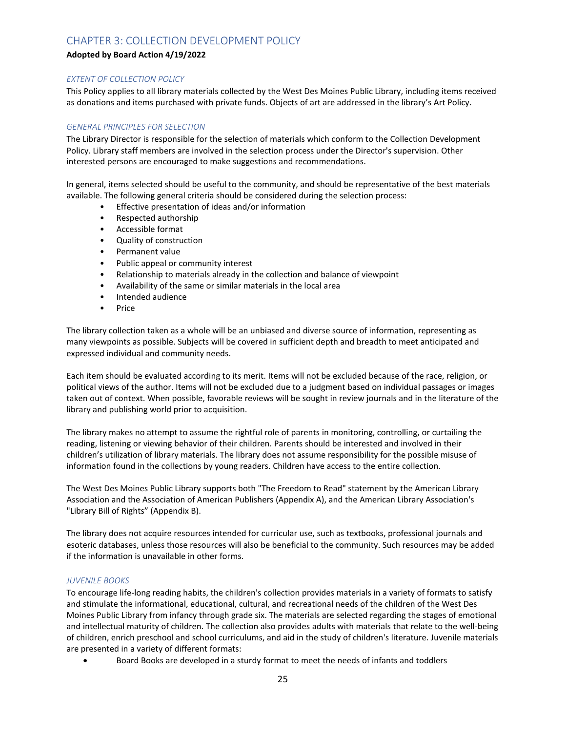# CHAPTER 3: COLLECTION DEVELOPMENT POLICY

## **Adopted by Board Action 4/19/2022**

## *EXTENT OF COLLECTION POLICY*

This Policy applies to all library materials collected by the West Des Moines Public Library, including items received as donations and items purchased with private funds. Objects of art are addressed in the library's Art Policy.

## *GENERAL PRINCIPLES FOR SELECTION*

The Library Director is responsible for the selection of materials which conform to the Collection Development Policy. Library staff members are involved in the selection process under the Director's supervision. Other interested persons are encouraged to make suggestions and recommendations.

In general, items selected should be useful to the community, and should be representative of the best materials available. The following general criteria should be considered during the selection process:

- Effective presentation of ideas and/or information
- Respected authorship
- Accessible format
- Quality of construction
- Permanent value
- Public appeal or community interest
- Relationship to materials already in the collection and balance of viewpoint
- Availability of the same or similar materials in the local area
- Intended audience
- Price

The library collection taken as a whole will be an unbiased and diverse source of information, representing as many viewpoints as possible. Subjects will be covered in sufficient depth and breadth to meet anticipated and expressed individual and community needs.

Each item should be evaluated according to its merit. Items will not be excluded because of the race, religion, or political views of the author. Items will not be excluded due to a judgment based on individual passages or images taken out of context. When possible, favorable reviews will be sought in review journals and in the literature of the library and publishing world prior to acquisition.

The library makes no attempt to assume the rightful role of parents in monitoring, controlling, or curtailing the reading, listening or viewing behavior of their children. Parents should be interested and involved in their children's utilization of library materials. The library does not assume responsibility for the possible misuse of information found in the collections by young readers. Children have access to the entire collection.

The West Des Moines Public Library supports both "The Freedom to Read" statement by the American Library Association and the Association of American Publishers (Appendix A), and the American Library Association's "Library Bill of Rights" (Appendix B).

The library does not acquire resources intended for curricular use, such as textbooks, professional journals and esoteric databases, unless those resources will also be beneficial to the community. Such resources may be added if the information is unavailable in other forms.

## *JUVENILE BOOKS*

To encourage life-long reading habits, the children's collection provides materials in a variety of formats to satisfy and stimulate the informational, educational, cultural, and recreational needs of the children of the West Des Moines Public Library from infancy through grade six. The materials are selected regarding the stages of emotional and intellectual maturity of children. The collection also provides adults with materials that relate to the well-being of children, enrich preschool and school curriculums, and aid in the study of children's literature. Juvenile materials are presented in a variety of different formats:

• Board Books are developed in a sturdy format to meet the needs of infants and toddlers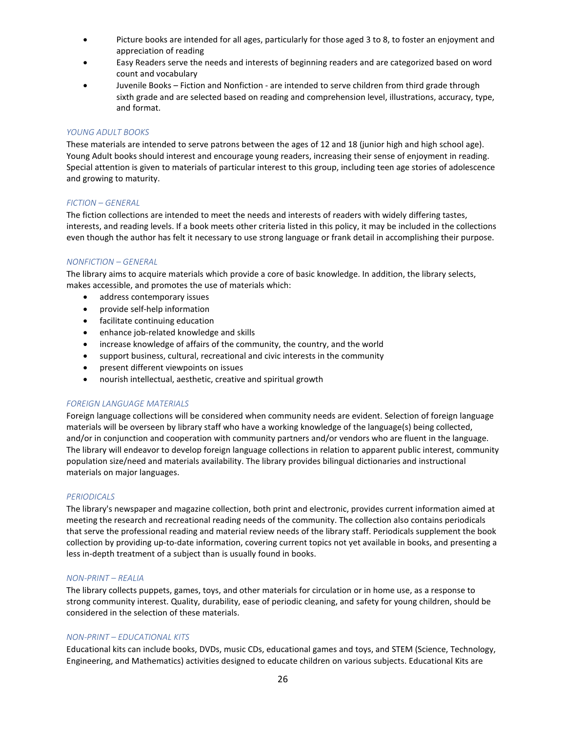- Picture books are intended for all ages, particularly for those aged 3 to 8, to foster an enjoyment and appreciation of reading
- Easy Readers serve the needs and interests of beginning readers and are categorized based on word count and vocabulary
- Juvenile Books Fiction and Nonfiction are intended to serve children from third grade through sixth grade and are selected based on reading and comprehension level, illustrations, accuracy, type, and format.

## *YOUNG ADULT BOOKS*

These materials are intended to serve patrons between the ages of 12 and 18 (junior high and high school age). Young Adult books should interest and encourage young readers, increasing their sense of enjoyment in reading. Special attention is given to materials of particular interest to this group, including teen age stories of adolescence and growing to maturity.

#### *FICTION – GENERAL*

The fiction collections are intended to meet the needs and interests of readers with widely differing tastes, interests, and reading levels. If a book meets other criteria listed in this policy, it may be included in the collections even though the author has felt it necessary to use strong language or frank detail in accomplishing their purpose.

## *NONFICTION – GENERAL*

The library aims to acquire materials which provide a core of basic knowledge. In addition, the library selects, makes accessible, and promotes the use of materials which:

- address contemporary issues
- provide self-help information
- facilitate continuing education
- enhance job-related knowledge and skills
- increase knowledge of affairs of the community, the country, and the world
- support business, cultural, recreational and civic interests in the community
- present different viewpoints on issues
- nourish intellectual, aesthetic, creative and spiritual growth

#### *FOREIGN LANGUAGE MATERIALS*

Foreign language collections will be considered when community needs are evident. Selection of foreign language materials will be overseen by library staff who have a working knowledge of the language(s) being collected, and/or in conjunction and cooperation with community partners and/or vendors who are fluent in the language. The library will endeavor to develop foreign language collections in relation to apparent public interest, community population size/need and materials availability. The library provides bilingual dictionaries and instructional materials on major languages.

#### *PERIODICALS*

The library's newspaper and magazine collection, both print and electronic, provides current information aimed at meeting the research and recreational reading needs of the community. The collection also contains periodicals that serve the professional reading and material review needs of the library staff. Periodicals supplement the book collection by providing up-to-date information, covering current topics not yet available in books, and presenting a less in-depth treatment of a subject than is usually found in books.

#### *NON-PRINT – REALIA*

The library collects puppets, games, toys, and other materials for circulation or in home use, as a response to strong community interest. Quality, durability, ease of periodic cleaning, and safety for young children, should be considered in the selection of these materials.

## *NON-PRINT – EDUCATIONAL KITS*

Educational kits can include books, DVDs, music CDs, educational games and toys, and STEM (Science, Technology, Engineering, and Mathematics) activities designed to educate children on various subjects. Educational Kits are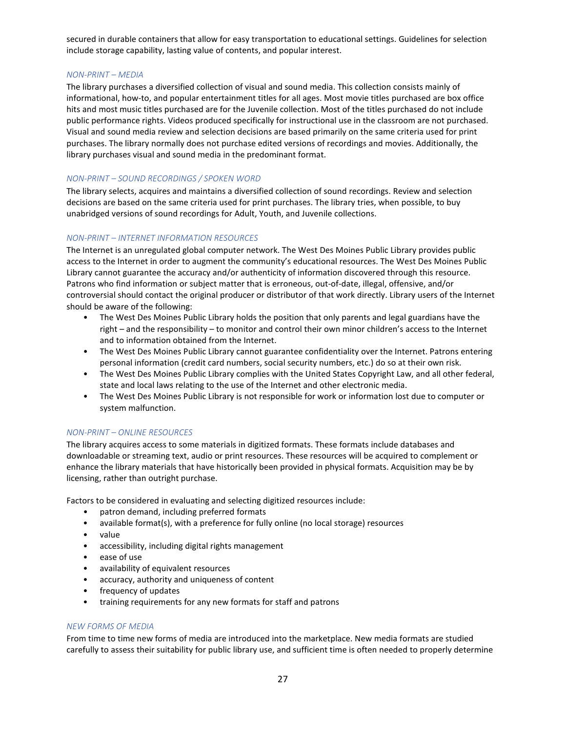secured in durable containers that allow for easy transportation to educational settings. Guidelines for selection include storage capability, lasting value of contents, and popular interest.

## *NON-PRINT – MEDIA*

The library purchases a diversified collection of visual and sound media. This collection consists mainly of informational, how-to, and popular entertainment titles for all ages. Most movie titles purchased are box office hits and most music titles purchased are for the Juvenile collection. Most of the titles purchased do not include public performance rights. Videos produced specifically for instructional use in the classroom are not purchased. Visual and sound media review and selection decisions are based primarily on the same criteria used for print purchases. The library normally does not purchase edited versions of recordings and movies. Additionally, the library purchases visual and sound media in the predominant format.

# *NON-PRINT – SOUND RECORDINGS / SPOKEN WORD*

The library selects, acquires and maintains a diversified collection of sound recordings. Review and selection decisions are based on the same criteria used for print purchases. The library tries, when possible, to buy unabridged versions of sound recordings for Adult, Youth, and Juvenile collections.

## *NON-PRINT – INTERNET INFORMATION RESOURCES*

The Internet is an unregulated global computer network. The West Des Moines Public Library provides public access to the Internet in order to augment the community's educational resources. The West Des Moines Public Library cannot guarantee the accuracy and/or authenticity of information discovered through this resource. Patrons who find information or subject matter that is erroneous, out-of-date, illegal, offensive, and/or controversial should contact the original producer or distributor of that work directly. Library users of the Internet should be aware of the following:

- The West Des Moines Public Library holds the position that only parents and legal guardians have the right – and the responsibility – to monitor and control their own minor children's access to the Internet and to information obtained from the Internet.
- The West Des Moines Public Library cannot guarantee confidentiality over the Internet. Patrons entering personal information (credit card numbers, social security numbers, etc.) do so at their own risk.
- The West Des Moines Public Library complies with the United States Copyright Law, and all other federal, state and local laws relating to the use of the Internet and other electronic media.
- The West Des Moines Public Library is not responsible for work or information lost due to computer or system malfunction.

## *NON-PRINT – ONLINE RESOURCES*

The library acquires access to some materials in digitized formats. These formats include databases and downloadable or streaming text, audio or print resources. These resources will be acquired to complement or enhance the library materials that have historically been provided in physical formats. Acquisition may be by licensing, rather than outright purchase.

Factors to be considered in evaluating and selecting digitized resources include:

- patron demand, including preferred formats
- available format(s), with a preference for fully online (no local storage) resources
- value
- accessibility, including digital rights management
- ease of use
- availability of equivalent resources
- accuracy, authority and uniqueness of content
- frequency of updates
- training requirements for any new formats for staff and patrons

#### *NEW FORMS OF MEDIA*

From time to time new forms of media are introduced into the marketplace. New media formats are studied carefully to assess their suitability for public library use, and sufficient time is often needed to properly determine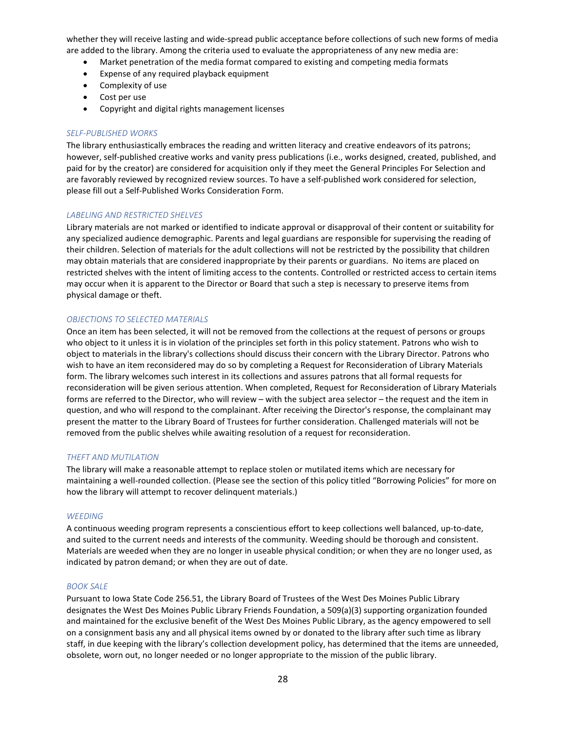whether they will receive lasting and wide-spread public acceptance before collections of such new forms of media are added to the library. Among the criteria used to evaluate the appropriateness of any new media are:

- Market penetration of the media format compared to existing and competing media formats
- Expense of any required playback equipment
- Complexity of use
- Cost per use
- Copyright and digital rights management licenses

#### *SELF-PUBLISHED WORKS*

The library enthusiastically embraces the reading and written literacy and creative endeavors of its patrons; however, self-published creative works and vanity press publications (i.e., works designed, created, published, and paid for by the creator) are considered for acquisition only if they meet the General Principles For Selection and are favorably reviewed by recognized review sources. To have a self-published work considered for selection, please fill out a Self-Published Works Consideration Form.

#### *LABELING AND RESTRICTED SHELVES*

Library materials are not marked or identified to indicate approval or disapproval of their content or suitability for any specialized audience demographic. Parents and legal guardians are responsible for supervising the reading of their children. Selection of materials for the adult collections will not be restricted by the possibility that children may obtain materials that are considered inappropriate by their parents or guardians. No items are placed on restricted shelves with the intent of limiting access to the contents. Controlled or restricted access to certain items may occur when it is apparent to the Director or Board that such a step is necessary to preserve items from physical damage or theft.

#### *OBJECTIONS TO SELECTED MATERIALS*

Once an item has been selected, it will not be removed from the collections at the request of persons or groups who object to it unless it is in violation of the principles set forth in this policy statement. Patrons who wish to object to materials in the library's collections should discuss their concern with the Library Director. Patrons who wish to have an item reconsidered may do so by completing a Request for Reconsideration of Library Materials form. The library welcomes such interest in its collections and assures patrons that all formal requests for reconsideration will be given serious attention. When completed, Request for Reconsideration of Library Materials forms are referred to the Director, who will review – with the subject area selector – the request and the item in question, and who will respond to the complainant. After receiving the Director's response, the complainant may present the matter to the Library Board of Trustees for further consideration. Challenged materials will not be removed from the public shelves while awaiting resolution of a request for reconsideration.

#### *THEFT AND MUTILATION*

The library will make a reasonable attempt to replace stolen or mutilated items which are necessary for maintaining a well-rounded collection. (Please see the section of this policy titled "Borrowing Policies" for more on how the library will attempt to recover delinquent materials.)

#### *WEEDING*

A continuous weeding program represents a conscientious effort to keep collections well balanced, up-to-date, and suited to the current needs and interests of the community. Weeding should be thorough and consistent. Materials are weeded when they are no longer in useable physical condition; or when they are no longer used, as indicated by patron demand; or when they are out of date.

#### *BOOK SALE*

Pursuant to Iowa State Code 256.51, the Library Board of Trustees of the West Des Moines Public Library designates the West Des Moines Public Library Friends Foundation, a 509(a)(3) supporting organization founded and maintained for the exclusive benefit of the West Des Moines Public Library, as the agency empowered to sell on a consignment basis any and all physical items owned by or donated to the library after such time as library staff, in due keeping with the library's collection development policy, has determined that the items are unneeded, obsolete, worn out, no longer needed or no longer appropriate to the mission of the public library.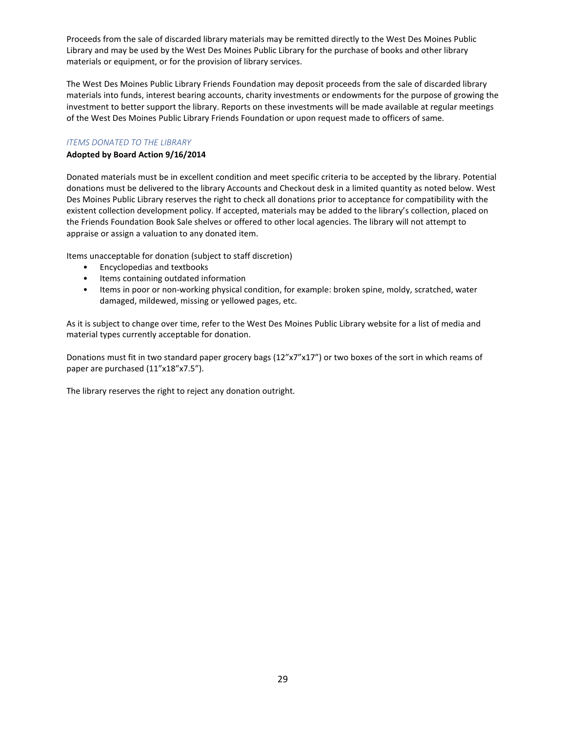Proceeds from the sale of discarded library materials may be remitted directly to the West Des Moines Public Library and may be used by the West Des Moines Public Library for the purchase of books and other library materials or equipment, or for the provision of library services.

The West Des Moines Public Library Friends Foundation may deposit proceeds from the sale of discarded library materials into funds, interest bearing accounts, charity investments or endowments for the purpose of growing the investment to better support the library. Reports on these investments will be made available at regular meetings of the West Des Moines Public Library Friends Foundation or upon request made to officers of same.

## *ITEMS DONATED TO THE LIBRARY*

## **Adopted by Board Action 9/16/2014**

Donated materials must be in excellent condition and meet specific criteria to be accepted by the library. Potential donations must be delivered to the library Accounts and Checkout desk in a limited quantity as noted below. West Des Moines Public Library reserves the right to check all donations prior to acceptance for compatibility with the existent collection development policy. If accepted, materials may be added to the library's collection, placed on the Friends Foundation Book Sale shelves or offered to other local agencies. The library will not attempt to appraise or assign a valuation to any donated item.

Items unacceptable for donation (subject to staff discretion)

- Encyclopedias and textbooks
- Items containing outdated information
- Items in poor or non-working physical condition, for example: broken spine, moldy, scratched, water damaged, mildewed, missing or yellowed pages, etc.

As it is subject to change over time, refer to the West Des Moines Public Library website for a list of media and material types currently acceptable for donation.

Donations must fit in two standard paper grocery bags (12"x7"x17") or two boxes of the sort in which reams of paper are purchased (11"x18"x7.5").

The library reserves the right to reject any donation outright.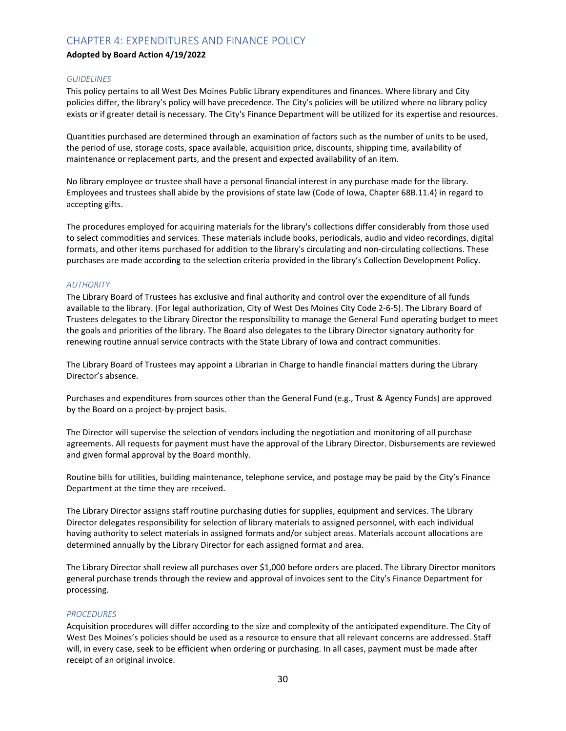# CHAPTER 4: EXPENDITURES AND FINANCE POLICY

## **Adopted by Board Action 4/19/2022**

### *GUIDELINES*

This policy pertains to all West Des Moines Public Library expenditures and finances. Where library and City policies differ, the library's policy will have precedence. The City's policies will be utilized where no library policy exists or if greater detail is necessary. The City's Finance Department will be utilized for its expertise and resources.

Quantities purchased are determined through an examination of factors such as the number of units to be used, the period of use, storage costs, space available, acquisition price, discounts, shipping time, availability of maintenance or replacement parts, and the present and expected availability of an item.

No library employee or trustee shall have a personal financial interest in any purchase made for the library. Employees and trustees shall abide by the provisions of state law (Code of Iowa, Chapter 68B.11.4) in regard to accepting gifts.

The procedures employed for acquiring materials for the library's collections differ considerably from those used to select commodities and services. These materials include books, periodicals, audio and video recordings, digital formats, and other items purchased for addition to the library's circulating and non-circulating collections. These purchases are made according to the selection criteria provided in the library's Collection Development Policy.

## *AUTHORITY*

The Library Board of Trustees has exclusive and final authority and control over the expenditure of all funds available to the library. (For legal authorization, City of West Des Moines City Code 2-6-5). The Library Board of Trustees delegates to the Library Director the responsibility to manage the General Fund operating budget to meet the goals and priorities of the library. The Board also delegates to the Library Director signatory authority for renewing routine annual service contracts with the State Library of Iowa and contract communities.

The Library Board of Trustees may appoint a Librarian in Charge to handle financial matters during the Library Director's absence.

Purchases and expenditures from sources other than the General Fund (e.g., Trust & Agency Funds) are approved by the Board on a project-by-project basis.

The Director will supervise the selection of vendors including the negotiation and monitoring of all purchase agreements. All requests for payment must have the approval of the Library Director. Disbursements are reviewed and given formal approval by the Board monthly.

Routine bills for utilities, building maintenance, telephone service, and postage may be paid by the City's Finance Department at the time they are received.

The Library Director assigns staff routine purchasing duties for supplies, equipment and services. The Library Director delegates responsibility for selection of library materials to assigned personnel, with each individual having authority to select materials in assigned formats and/or subject areas. Materials account allocations are determined annually by the Library Director for each assigned format and area.

The Library Director shall review all purchases over \$1,000 before orders are placed. The Library Director monitors general purchase trends through the review and approval of invoices sent to the City's Finance Department for processing.

#### *PROCEDURES*

Acquisition procedures will differ according to the size and complexity of the anticipated expenditure. The City of West Des Moines's policies should be used as a resource to ensure that all relevant concerns are addressed. Staff will, in every case, seek to be efficient when ordering or purchasing. In all cases, payment must be made after receipt of an original invoice.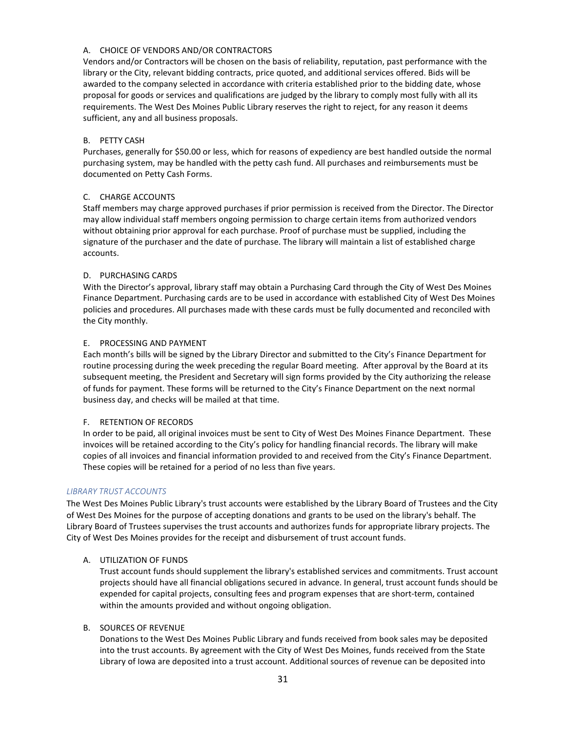## A. CHOICE OF VENDORS AND/OR CONTRACTORS

Vendors and/or Contractors will be chosen on the basis of reliability, reputation, past performance with the library or the City, relevant bidding contracts, price quoted, and additional services offered. Bids will be awarded to the company selected in accordance with criteria established prior to the bidding date, whose proposal for goods or services and qualifications are judged by the library to comply most fully with all its requirements. The West Des Moines Public Library reserves the right to reject, for any reason it deems sufficient, any and all business proposals.

## B. PETTY CASH

Purchases, generally for \$50.00 or less, which for reasons of expediency are best handled outside the normal purchasing system, may be handled with the petty cash fund. All purchases and reimbursements must be documented on Petty Cash Forms.

## C. CHARGE ACCOUNTS

Staff members may charge approved purchases if prior permission is received from the Director. The Director may allow individual staff members ongoing permission to charge certain items from authorized vendors without obtaining prior approval for each purchase. Proof of purchase must be supplied, including the signature of the purchaser and the date of purchase. The library will maintain a list of established charge accounts.

## D. PURCHASING CARDS

With the Director's approval, library staff may obtain a Purchasing Card through the City of West Des Moines Finance Department. Purchasing cards are to be used in accordance with established City of West Des Moines policies and procedures. All purchases made with these cards must be fully documented and reconciled with the City monthly.

## E. PROCESSING AND PAYMENT

Each month's bills will be signed by the Library Director and submitted to the City's Finance Department for routine processing during the week preceding the regular Board meeting. After approval by the Board at its subsequent meeting, the President and Secretary will sign forms provided by the City authorizing the release of funds for payment. These forms will be returned to the City's Finance Department on the next normal business day, and checks will be mailed at that time.

### F. RETENTION OF RECORDS

In order to be paid, all original invoices must be sent to City of West Des Moines Finance Department. These invoices will be retained according to the City's policy for handling financial records. The library will make copies of all invoices and financial information provided to and received from the City's Finance Department. These copies will be retained for a period of no less than five years.

## *LIBRARY TRUST ACCOUNTS*

The West Des Moines Public Library's trust accounts were established by the Library Board of Trustees and the City of West Des Moines for the purpose of accepting donations and grants to be used on the library's behalf. The Library Board of Trustees supervises the trust accounts and authorizes funds for appropriate library projects. The City of West Des Moines provides for the receipt and disbursement of trust account funds.

## A. UTILIZATION OF FUNDS

Trust account funds should supplement the library's established services and commitments. Trust account projects should have all financial obligations secured in advance. In general, trust account funds should be expended for capital projects, consulting fees and program expenses that are short-term, contained within the amounts provided and without ongoing obligation.

#### B. SOURCES OF REVENUE

Donations to the West Des Moines Public Library and funds received from book sales may be deposited into the trust accounts. By agreement with the City of West Des Moines, funds received from the State Library of Iowa are deposited into a trust account. Additional sources of revenue can be deposited into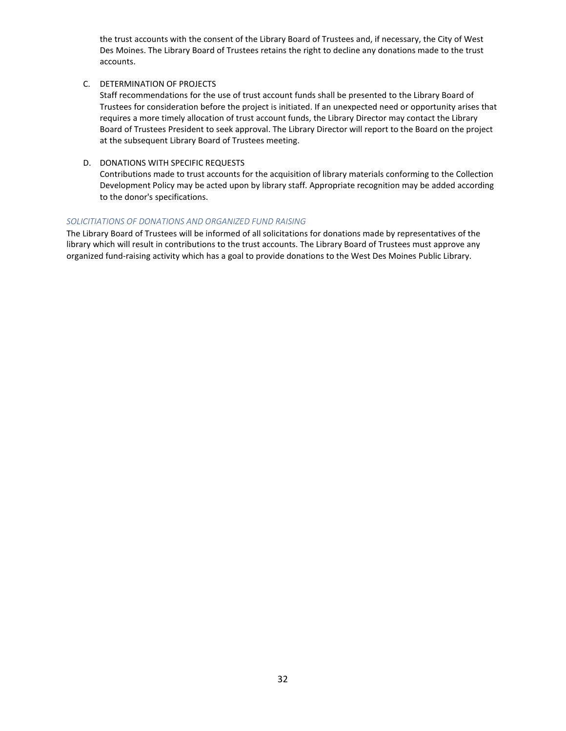the trust accounts with the consent of the Library Board of Trustees and, if necessary, the City of West Des Moines. The Library Board of Trustees retains the right to decline any donations made to the trust accounts.

C. DETERMINATION OF PROJECTS

Staff recommendations for the use of trust account funds shall be presented to the Library Board of Trustees for consideration before the project is initiated. If an unexpected need or opportunity arises that requires a more timely allocation of trust account funds, the Library Director may contact the Library Board of Trustees President to seek approval. The Library Director will report to the Board on the project at the subsequent Library Board of Trustees meeting.

D. DONATIONS WITH SPECIFIC REQUESTS

Contributions made to trust accounts for the acquisition of library materials conforming to the Collection Development Policy may be acted upon by library staff. Appropriate recognition may be added according to the donor's specifications.

## *SOLICITIATIONS OF DONATIONS AND ORGANIZED FUND RAISING*

The Library Board of Trustees will be informed of all solicitations for donations made by representatives of the library which will result in contributions to the trust accounts. The Library Board of Trustees must approve any organized fund-raising activity which has a goal to provide donations to the West Des Moines Public Library.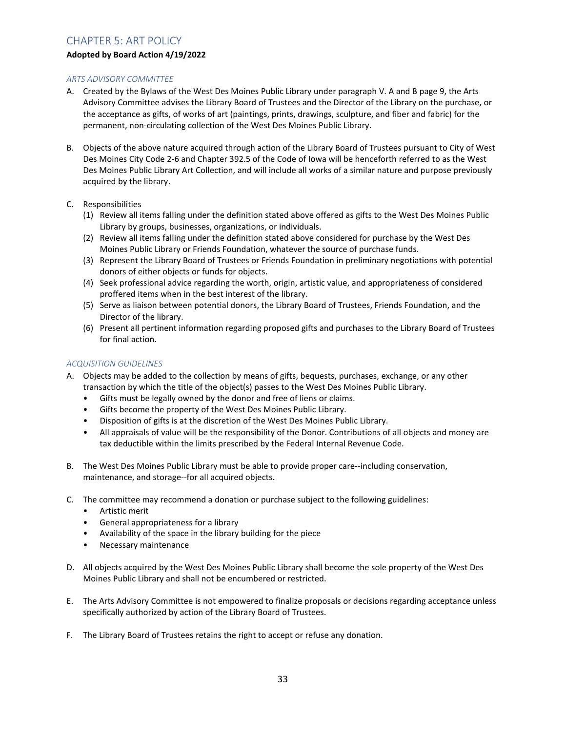# CHAPTER 5: ART POLICY

## **Adopted by Board Action 4/19/2022**

## *ARTS ADVISORY COMMITTEE*

- A. Created by the Bylaws of the West Des Moines Public Library under paragraph V. A and B page 9, the Arts Advisory Committee advises the Library Board of Trustees and the Director of the Library on the purchase, or the acceptance as gifts, of works of art (paintings, prints, drawings, sculpture, and fiber and fabric) for the permanent, non-circulating collection of the West Des Moines Public Library.
- B. Objects of the above nature acquired through action of the Library Board of Trustees pursuant to City of West Des Moines City Code 2-6 and Chapter 392.5 of the Code of Iowa will be henceforth referred to as the West Des Moines Public Library Art Collection, and will include all works of a similar nature and purpose previously acquired by the library.
- C. Responsibilities
	- (1) Review all items falling under the definition stated above offered as gifts to the West Des Moines Public Library by groups, businesses, organizations, or individuals.
	- (2) Review all items falling under the definition stated above considered for purchase by the West Des Moines Public Library or Friends Foundation, whatever the source of purchase funds.
	- (3) Represent the Library Board of Trustees or Friends Foundation in preliminary negotiations with potential donors of either objects or funds for objects.
	- (4) Seek professional advice regarding the worth, origin, artistic value, and appropriateness of considered proffered items when in the best interest of the library.
	- (5) Serve as liaison between potential donors, the Library Board of Trustees, Friends Foundation, and the Director of the library.
	- (6) Present all pertinent information regarding proposed gifts and purchases to the Library Board of Trustees for final action.

## *ACQUISITION GUIDELINES*

- A. Objects may be added to the collection by means of gifts, bequests, purchases, exchange, or any other transaction by which the title of the object(s) passes to the West Des Moines Public Library.
	- Gifts must be legally owned by the donor and free of liens or claims.
	- Gifts become the property of the West Des Moines Public Library.
	- Disposition of gifts is at the discretion of the West Des Moines Public Library.
	- All appraisals of value will be the responsibility of the Donor. Contributions of all objects and money are tax deductible within the limits prescribed by the Federal Internal Revenue Code.
- B. The West Des Moines Public Library must be able to provide proper care--including conservation, maintenance, and storage--for all acquired objects.
- C. The committee may recommend a donation or purchase subject to the following guidelines:
	- Artistic merit
	- General appropriateness for a library
	- Availability of the space in the library building for the piece
	- Necessary maintenance
- D. All objects acquired by the West Des Moines Public Library shall become the sole property of the West Des Moines Public Library and shall not be encumbered or restricted.
- E. The Arts Advisory Committee is not empowered to finalize proposals or decisions regarding acceptance unless specifically authorized by action of the Library Board of Trustees.
- F. The Library Board of Trustees retains the right to accept or refuse any donation.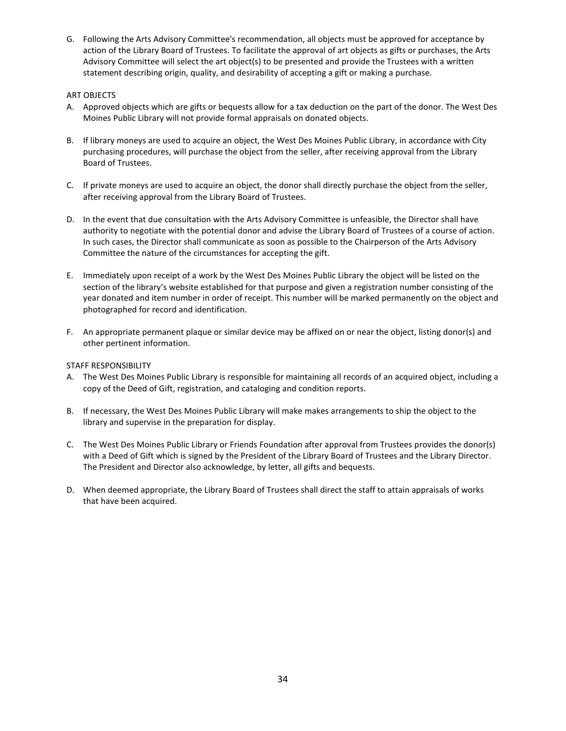G. Following the Arts Advisory Committee's recommendation, all objects must be approved for acceptance by action of the Library Board of Trustees. To facilitate the approval of art objects as gifts or purchases, the Arts Advisory Committee will select the art object(s) to be presented and provide the Trustees with a written statement describing origin, quality, and desirability of accepting a gift or making a purchase.

## ART OBJECTS

- A. Approved objects which are gifts or bequests allow for a tax deduction on the part of the donor. The West Des Moines Public Library will not provide formal appraisals on donated objects.
- B. If library moneys are used to acquire an object, the West Des Moines Public Library, in accordance with City purchasing procedures, will purchase the object from the seller, after receiving approval from the Library Board of Trustees.
- C. If private moneys are used to acquire an object, the donor shall directly purchase the object from the seller, after receiving approval from the Library Board of Trustees.
- D. In the event that due consultation with the Arts Advisory Committee is unfeasible, the Director shall have authority to negotiate with the potential donor and advise the Library Board of Trustees of a course of action. In such cases, the Director shall communicate as soon as possible to the Chairperson of the Arts Advisory Committee the nature of the circumstances for accepting the gift.
- E. Immediately upon receipt of a work by the West Des Moines Public Library the object will be listed on the section of the library's website established for that purpose and given a registration number consisting of the year donated and item number in order of receipt. This number will be marked permanently on the object and photographed for record and identification.
- F. An appropriate permanent plaque or similar device may be affixed on or near the object, listing donor(s) and other pertinent information.

### STAFF RESPONSIBILITY

- A. The West Des Moines Public Library is responsible for maintaining all records of an acquired object, including a copy of the Deed of Gift, registration, and cataloging and condition reports.
- B. If necessary, the West Des Moines Public Library will make makes arrangements to ship the object to the library and supervise in the preparation for display.
- C. The West Des Moines Public Library or Friends Foundation after approval from Trustees provides the donor(s) with a Deed of Gift which is signed by the President of the Library Board of Trustees and the Library Director. The President and Director also acknowledge, by letter, all gifts and bequests.
- D. When deemed appropriate, the Library Board of Trustees shall direct the staff to attain appraisals of works that have been acquired.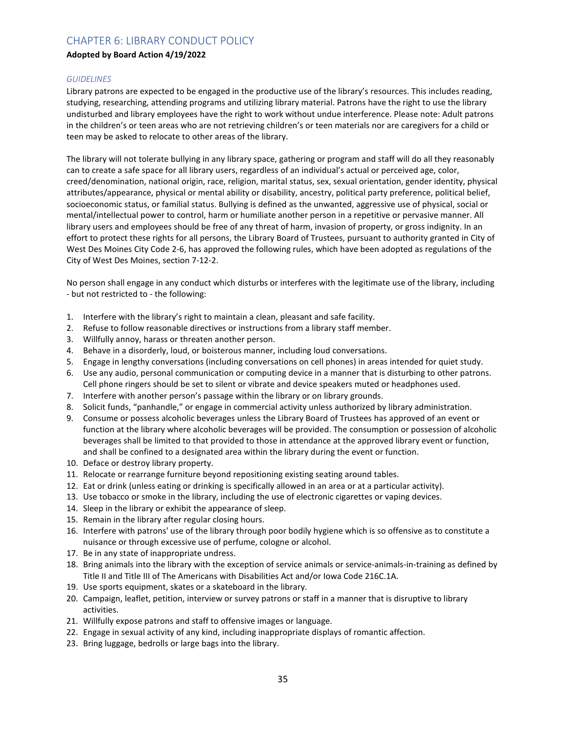# CHAPTER 6: LIBRARY CONDUCT POLICY

## **Adopted by Board Action 4/19/2022**

## *GUIDELINES*

Library patrons are expected to be engaged in the productive use of the library's resources. This includes reading, studying, researching, attending programs and utilizing library material. Patrons have the right to use the library undisturbed and library employees have the right to work without undue interference. Please note: Adult patrons in the children's or teen areas who are not retrieving children's or teen materials nor are caregivers for a child or teen may be asked to relocate to other areas of the library.

The library will not tolerate bullying in any library space, gathering or program and staff will do all they reasonably can to create a safe space for all library users, regardless of an individual's actual or perceived age, color, creed/denomination, national origin, race, religion, marital status, sex, sexual orientation, gender identity, physical attributes/appearance, physical or mental ability or disability, ancestry, political party preference, political belief, socioeconomic status, or familial status. Bullying is defined as the unwanted, aggressive use of physical, social or mental/intellectual power to control, harm or humiliate another person in a repetitive or pervasive manner. All library users and employees should be free of any threat of harm, invasion of property, or gross indignity. In an effort to protect these rights for all persons, the Library Board of Trustees, pursuant to authority granted in City of West Des Moines City Code 2-6, has approved the following rules, which have been adopted as regulations of the City of West Des Moines, section 7-12-2.

No person shall engage in any conduct which disturbs or interferes with the legitimate use of the library, including - but not restricted to - the following:

- 1. Interfere with the library's right to maintain a clean, pleasant and safe facility.
- 2. Refuse to follow reasonable directives or instructions from a library staff member.
- 3. Willfully annoy, harass or threaten another person.
- 4. Behave in a disorderly, loud, or boisterous manner, including loud conversations.
- 5. Engage in lengthy conversations (including conversations on cell phones) in areas intended for quiet study.
- 6. Use any audio, personal communication or computing device in a manner that is disturbing to other patrons. Cell phone ringers should be set to silent or vibrate and device speakers muted or headphones used.
- 7. Interfere with another person's passage within the library or on library grounds.
- 8. Solicit funds, "panhandle," or engage in commercial activity unless authorized by library administration.
- 9. Consume or possess alcoholic beverages unless the Library Board of Trustees has approved of an event or function at the library where alcoholic beverages will be provided. The consumption or possession of alcoholic beverages shall be limited to that provided to those in attendance at the approved library event or function, and shall be confined to a designated area within the library during the event or function.
- 10. Deface or destroy library property.
- 11. Relocate or rearrange furniture beyond repositioning existing seating around tables.
- 12. Eat or drink (unless eating or drinking is specifically allowed in an area or at a particular activity).
- 13. Use tobacco or smoke in the library, including the use of electronic cigarettes or vaping devices.
- 14. Sleep in the library or exhibit the appearance of sleep.
- 15. Remain in the library after regular closing hours.
- 16. Interfere with patrons' use of the library through poor bodily hygiene which is so offensive as to constitute a nuisance or through excessive use of perfume, cologne or alcohol.
- 17. Be in any state of inappropriate undress.
- 18. Bring animals into the library with the exception of service animals or service-animals-in-training as defined by Title II and Title III of The Americans with Disabilities Act and/or Iowa Code 216C.1A.
- 19. Use sports equipment, skates or a skateboard in the library.
- 20. Campaign, leaflet, petition, interview or survey patrons or staff in a manner that is disruptive to library activities.
- 21. Willfully expose patrons and staff to offensive images or language.
- 22. Engage in sexual activity of any kind, including inappropriate displays of romantic affection.
- 23. Bring luggage, bedrolls or large bags into the library.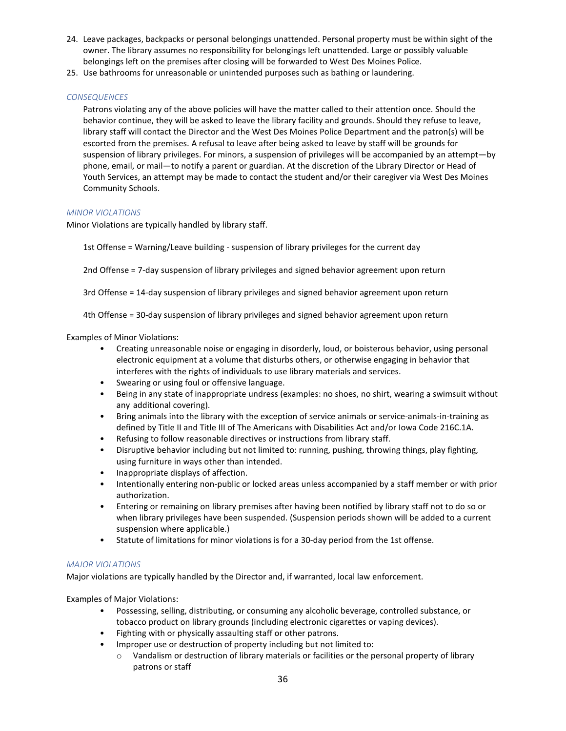- 24. Leave packages, backpacks or personal belongings unattended. Personal property must be within sight of the owner. The library assumes no responsibility for belongings left unattended. Large or possibly valuable belongings left on the premises after closing will be forwarded to West Des Moines Police.
- 25. Use bathrooms for unreasonable or unintended purposes such as bathing or laundering.

## *CONSEQUENCES*

Patrons violating any of the above policies will have the matter called to their attention once. Should the behavior continue, they will be asked to leave the library facility and grounds. Should they refuse to leave, library staff will contact the Director and the West Des Moines Police Department and the patron(s) will be escorted from the premises. A refusal to leave after being asked to leave by staff will be grounds for suspension of library privileges. For minors, a suspension of privileges will be accompanied by an attempt—by phone, email, or mail—to notify a parent or guardian. At the discretion of the Library Director or Head of Youth Services, an attempt may be made to contact the student and/or their caregiver via West Des Moines Community Schools.

## *MINOR VIOLATIONS*

Minor Violations are typically handled by library staff.

1st Offense = Warning/Leave building - suspension of library privileges for the current day

2nd Offense = 7-day suspension of library privileges and signed behavior agreement upon return

3rd Offense = 14-day suspension of library privileges and signed behavior agreement upon return

4th Offense = 30-day suspension of library privileges and signed behavior agreement upon return

## Examples of Minor Violations:

- Creating unreasonable noise or engaging in disorderly, loud, or boisterous behavior, using personal electronic equipment at a volume that disturbs others, or otherwise engaging in behavior that interferes with the rights of individuals to use library materials and services.
- Swearing or using foul or offensive language.
- Being in any state of inappropriate undress (examples: no shoes, no shirt, wearing a swimsuit without any additional covering).
- Bring animals into the library with the exception of service animals or service-animals-in-training as defined by Title II and Title III of The Americans with Disabilities Act and/or Iowa Code 216C.1A.
- Refusing to follow reasonable directives or instructions from library staff.
- Disruptive behavior including but not limited to: running, pushing, throwing things, play fighting, using furniture in ways other than intended.
- Inappropriate displays of affection.
- Intentionally entering non-public or locked areas unless accompanied by a staff member or with prior authorization.
- Entering or remaining on library premises after having been notified by library staff not to do so or when library privileges have been suspended. (Suspension periods shown will be added to a current suspension where applicable.)
- Statute of limitations for minor violations is for a 30-day period from the 1st offense.

## *MAJOR VIOLATIONS*

Major violations are typically handled by the Director and, if warranted, local law enforcement.

Examples of Major Violations:

- Possessing, selling, distributing, or consuming any alcoholic beverage, controlled substance, or tobacco product on library grounds (including electronic cigarettes or vaping devices).
- Fighting with or physically assaulting staff or other patrons.
- Improper use or destruction of property including but not limited to:
	- o Vandalism or destruction of library materials or facilities or the personal property of library patrons or staff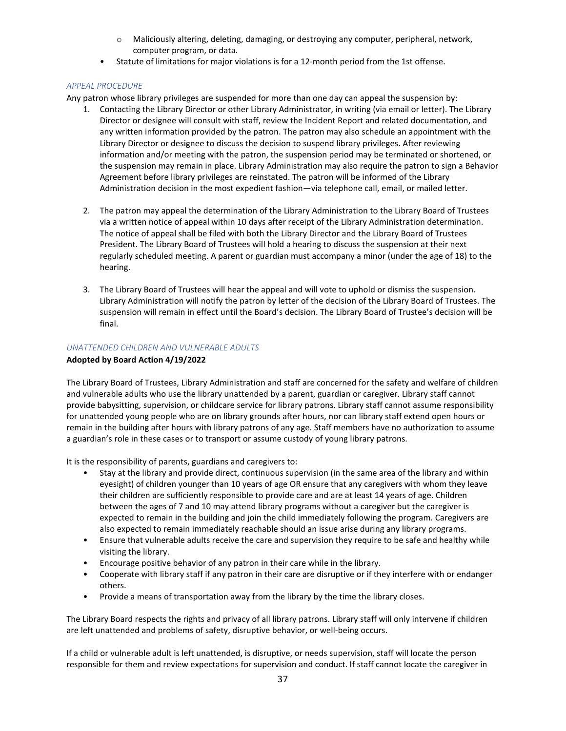- o Maliciously altering, deleting, damaging, or destroying any computer, peripheral, network, computer program, or data.
- Statute of limitations for major violations is for a 12-month period from the 1st offense.

## *APPEAL PROCEDURE*

Any patron whose library privileges are suspended for more than one day can appeal the suspension by:

- 1. Contacting the Library Director or other Library Administrator, in writing (via email or letter). The Library Director or designee will consult with staff, review the Incident Report and related documentation, and any written information provided by the patron. The patron may also schedule an appointment with the Library Director or designee to discuss the decision to suspend library privileges. After reviewing information and/or meeting with the patron, the suspension period may be terminated or shortened, or the suspension may remain in place. Library Administration may also require the patron to sign a Behavior Agreement before library privileges are reinstated. The patron will be informed of the Library Administration decision in the most expedient fashion—via telephone call, email, or mailed letter.
- 2. The patron may appeal the determination of the Library Administration to the Library Board of Trustees via a written notice of appeal within 10 days after receipt of the Library Administration determination. The notice of appeal shall be filed with both the Library Director and the Library Board of Trustees President. The Library Board of Trustees will hold a hearing to discuss the suspension at their next regularly scheduled meeting. A parent or guardian must accompany a minor (under the age of 18) to the hearing.
- 3. The Library Board of Trustees will hear the appeal and will vote to uphold or dismiss the suspension. Library Administration will notify the patron by letter of the decision of the Library Board of Trustees. The suspension will remain in effect until the Board's decision. The Library Board of Trustee's decision will be final.

## *UNATTENDED CHILDREN AND VULNERABLE ADULTS*

## **Adopted by Board Action 4/19/2022**

The Library Board of Trustees, Library Administration and staff are concerned for the safety and welfare of children and vulnerable adults who use the library unattended by a parent, guardian or caregiver. Library staff cannot provide babysitting, supervision, or childcare service for library patrons. Library staff cannot assume responsibility for unattended young people who are on library grounds after hours, nor can library staff extend open hours or remain in the building after hours with library patrons of any age. Staff members have no authorization to assume a guardian's role in these cases or to transport or assume custody of young library patrons.

It is the responsibility of parents, guardians and caregivers to:

- Stay at the library and provide direct, continuous supervision (in the same area of the library and within eyesight) of children younger than 10 years of age OR ensure that any caregivers with whom they leave their children are sufficiently responsible to provide care and are at least 14 years of age. Children between the ages of 7 and 10 may attend library programs without a caregiver but the caregiver is expected to remain in the building and join the child immediately following the program. Caregivers are also expected to remain immediately reachable should an issue arise during any library programs.
- Ensure that vulnerable adults receive the care and supervision they require to be safe and healthy while visiting the library.
- Encourage positive behavior of any patron in their care while in the library.
- Cooperate with library staff if any patron in their care are disruptive or if they interfere with or endanger others.
- Provide a means of transportation away from the library by the time the library closes.

The Library Board respects the rights and privacy of all library patrons. Library staff will only intervene if children are left unattended and problems of safety, disruptive behavior, or well-being occurs.

If a child or vulnerable adult is left unattended, is disruptive, or needs supervision, staff will locate the person responsible for them and review expectations for supervision and conduct. If staff cannot locate the caregiver in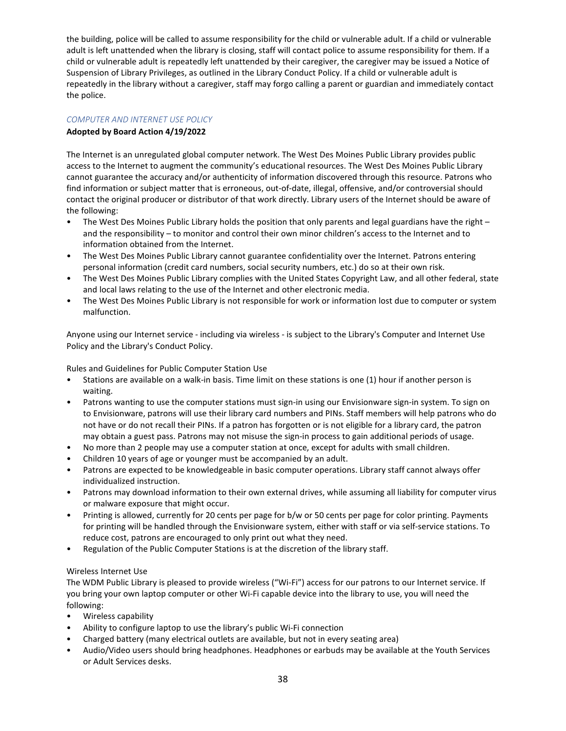the building, police will be called to assume responsibility for the child or vulnerable adult. If a child or vulnerable adult is left unattended when the library is closing, staff will contact police to assume responsibility for them. If a child or vulnerable adult is repeatedly left unattended by their caregiver, the caregiver may be issued a Notice of Suspension of Library Privileges, as outlined in the Library Conduct Policy. If a child or vulnerable adult is repeatedly in the library without a caregiver, staff may forgo calling a parent or guardian and immediately contact the police.

## *COMPUTER AND INTERNET USE POLICY*

## **Adopted by Board Action 4/19/2022**

The Internet is an unregulated global computer network. The West Des Moines Public Library provides public access to the Internet to augment the community's educational resources. The West Des Moines Public Library cannot guarantee the accuracy and/or authenticity of information discovered through this resource. Patrons who find information or subject matter that is erroneous, out-of-date, illegal, offensive, and/or controversial should contact the original producer or distributor of that work directly. Library users of the Internet should be aware of the following:

- The West Des Moines Public Library holds the position that only parents and legal guardians have the right and the responsibility – to monitor and control their own minor children's access to the Internet and to information obtained from the Internet.
- The West Des Moines Public Library cannot guarantee confidentiality over the Internet. Patrons entering personal information (credit card numbers, social security numbers, etc.) do so at their own risk.
- The West Des Moines Public Library complies with the United States Copyright Law, and all other federal, state and local laws relating to the use of the Internet and other electronic media.
- The West Des Moines Public Library is not responsible for work or information lost due to computer or system malfunction.

Anyone using our Internet service - including via wireless - is subject to the Library's Computer and Internet Use Policy and the Library's Conduct Policy.

Rules and Guidelines for Public Computer Station Use

- Stations are available on a walk-in basis. Time limit on these stations is one (1) hour if another person is waiting.
- Patrons wanting to use the computer stations must sign-in using our Envisionware sign-in system. To sign on to Envisionware, patrons will use their library card numbers and PINs. Staff members will help patrons who do not have or do not recall their PINs. If a patron has forgotten or is not eligible for a library card, the patron may obtain a guest pass. Patrons may not misuse the sign-in process to gain additional periods of usage.
- No more than 2 people may use a computer station at once, except for adults with small children.
- Children 10 years of age or younger must be accompanied by an adult.
- Patrons are expected to be knowledgeable in basic computer operations. Library staff cannot always offer individualized instruction.
- Patrons may download information to their own external drives, while assuming all liability for computer virus or malware exposure that might occur.
- Printing is allowed, currently for 20 cents per page for b/w or 50 cents per page for color printing. Payments for printing will be handled through the Envisionware system, either with staff or via self-service stations. To reduce cost, patrons are encouraged to only print out what they need.
- Regulation of the Public Computer Stations is at the discretion of the library staff.

## Wireless Internet Use

The WDM Public Library is pleased to provide wireless ("Wi-Fi") access for our patrons to our Internet service. If you bring your own laptop computer or other Wi-Fi capable device into the library to use, you will need the following:

- Wireless capability
- Ability to configure laptop to use the library's public Wi-Fi connection
- Charged battery (many electrical outlets are available, but not in every seating area)
- Audio/Video users should bring headphones. Headphones or earbuds may be available at the Youth Services or Adult Services desks.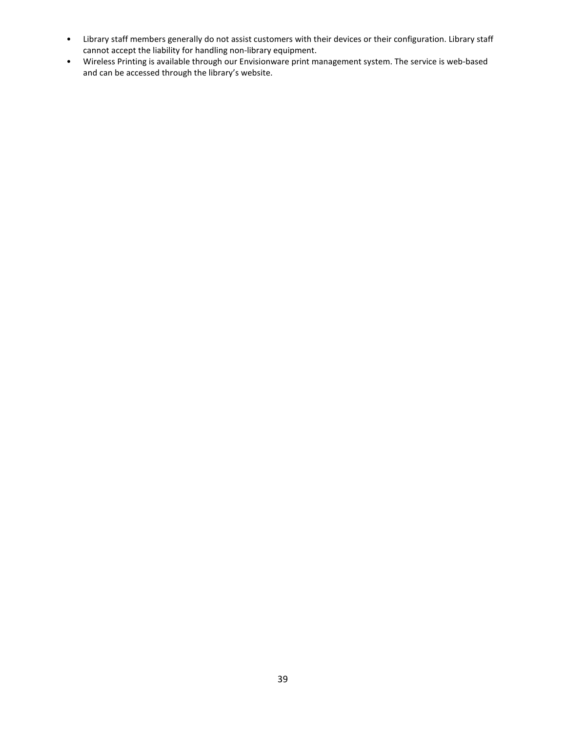- Library staff members generally do not assist customers with their devices or their configuration. Library staff cannot accept the liability for handling non-library equipment.
- Wireless Printing is available through our Envisionware print management system. The service is web-based and can be accessed through the library's website.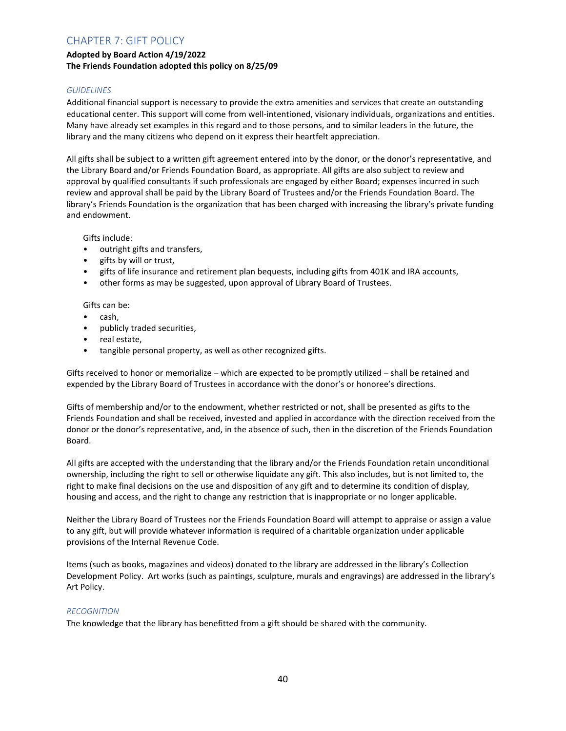# CHAPTER 7: GIFT POLICY

# **Adopted by Board Action 4/19/2022 The Friends Foundation adopted this policy on 8/25/09**

## *GUIDELINES*

Additional financial support is necessary to provide the extra amenities and services that create an outstanding educational center. This support will come from well-intentioned, visionary individuals, organizations and entities. Many have already set examples in this regard and to those persons, and to similar leaders in the future, the library and the many citizens who depend on it express their heartfelt appreciation.

All gifts shall be subject to a written gift agreement entered into by the donor, or the donor's representative, and the Library Board and/or Friends Foundation Board, as appropriate. All gifts are also subject to review and approval by qualified consultants if such professionals are engaged by either Board; expenses incurred in such review and approval shall be paid by the Library Board of Trustees and/or the Friends Foundation Board. The library's Friends Foundation is the organization that has been charged with increasing the library's private funding and endowment.

Gifts include:

- outright gifts and transfers,
- gifts by will or trust,
- gifts of life insurance and retirement plan bequests, including gifts from 401K and IRA accounts,
- other forms as may be suggested, upon approval of Library Board of Trustees.

Gifts can be:

- cash,
- publicly traded securities,
- real estate,
- tangible personal property, as well as other recognized gifts.

Gifts received to honor or memorialize – which are expected to be promptly utilized – shall be retained and expended by the Library Board of Trustees in accordance with the donor's or honoree's directions.

Gifts of membership and/or to the endowment, whether restricted or not, shall be presented as gifts to the Friends Foundation and shall be received, invested and applied in accordance with the direction received from the donor or the donor's representative, and, in the absence of such, then in the discretion of the Friends Foundation Board.

All gifts are accepted with the understanding that the library and/or the Friends Foundation retain unconditional ownership, including the right to sell or otherwise liquidate any gift. This also includes, but is not limited to, the right to make final decisions on the use and disposition of any gift and to determine its condition of display, housing and access, and the right to change any restriction that is inappropriate or no longer applicable.

Neither the Library Board of Trustees nor the Friends Foundation Board will attempt to appraise or assign a value to any gift, but will provide whatever information is required of a charitable organization under applicable provisions of the Internal Revenue Code.

Items (such as books, magazines and videos) donated to the library are addressed in the library's Collection Development Policy. Art works (such as paintings, sculpture, murals and engravings) are addressed in the library's Art Policy.

#### *RECOGNITION*

The knowledge that the library has benefitted from a gift should be shared with the community.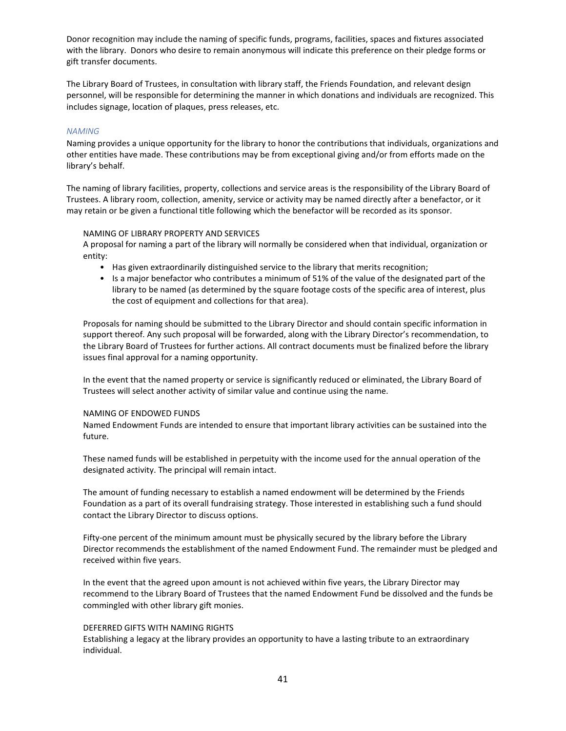Donor recognition may include the naming of specific funds, programs, facilities, spaces and fixtures associated with the library. Donors who desire to remain anonymous will indicate this preference on their pledge forms or gift transfer documents.

The Library Board of Trustees, in consultation with library staff, the Friends Foundation, and relevant design personnel, will be responsible for determining the manner in which donations and individuals are recognized. This includes signage, location of plaques, press releases, etc.

### *NAMING*

Naming provides a unique opportunity for the library to honor the contributions that individuals, organizations and other entities have made. These contributions may be from exceptional giving and/or from efforts made on the library's behalf.

The naming of library facilities, property, collections and service areas is the responsibility of the Library Board of Trustees. A library room, collection, amenity, service or activity may be named directly after a benefactor, or it may retain or be given a functional title following which the benefactor will be recorded as its sponsor.

#### NAMING OF LIBRARY PROPERTY AND SERVICES

A proposal for naming a part of the library will normally be considered when that individual, organization or entity:

- Has given extraordinarily distinguished service to the library that merits recognition;
- Is a major benefactor who contributes a minimum of 51% of the value of the designated part of the library to be named (as determined by the square footage costs of the specific area of interest, plus the cost of equipment and collections for that area).

Proposals for naming should be submitted to the Library Director and should contain specific information in support thereof. Any such proposal will be forwarded, along with the Library Director's recommendation, to the Library Board of Trustees for further actions. All contract documents must be finalized before the library issues final approval for a naming opportunity.

In the event that the named property or service is significantly reduced or eliminated, the Library Board of Trustees will select another activity of similar value and continue using the name.

#### NAMING OF ENDOWED FUNDS

Named Endowment Funds are intended to ensure that important library activities can be sustained into the future.

These named funds will be established in perpetuity with the income used for the annual operation of the designated activity. The principal will remain intact.

The amount of funding necessary to establish a named endowment will be determined by the Friends Foundation as a part of its overall fundraising strategy. Those interested in establishing such a fund should contact the Library Director to discuss options.

Fifty-one percent of the minimum amount must be physically secured by the library before the Library Director recommends the establishment of the named Endowment Fund. The remainder must be pledged and received within five years.

In the event that the agreed upon amount is not achieved within five years, the Library Director may recommend to the Library Board of Trustees that the named Endowment Fund be dissolved and the funds be commingled with other library gift monies.

#### DEFERRED GIFTS WITH NAMING RIGHTS

Establishing a legacy at the library provides an opportunity to have a lasting tribute to an extraordinary individual.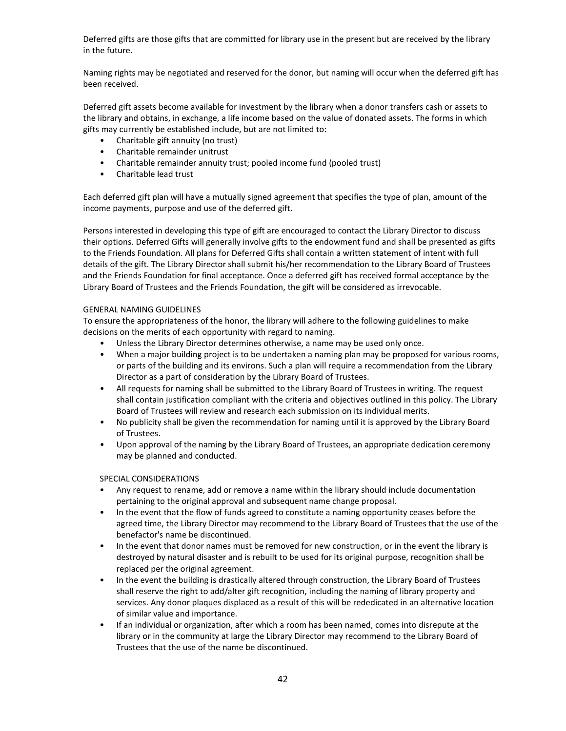Deferred gifts are those gifts that are committed for library use in the present but are received by the library in the future.

Naming rights may be negotiated and reserved for the donor, but naming will occur when the deferred gift has been received.

Deferred gift assets become available for investment by the library when a donor transfers cash or assets to the library and obtains, in exchange, a life income based on the value of donated assets. The forms in which gifts may currently be established include, but are not limited to:

- Charitable gift annuity (no trust)
- Charitable remainder unitrust
- Charitable remainder annuity trust; pooled income fund (pooled trust)
- Charitable lead trust

Each deferred gift plan will have a mutually signed agreement that specifies the type of plan, amount of the income payments, purpose and use of the deferred gift.

Persons interested in developing this type of gift are encouraged to contact the Library Director to discuss their options. Deferred Gifts will generally involve gifts to the endowment fund and shall be presented as gifts to the Friends Foundation. All plans for Deferred Gifts shall contain a written statement of intent with full details of the gift. The Library Director shall submit his/her recommendation to the Library Board of Trustees and the Friends Foundation for final acceptance. Once a deferred gift has received formal acceptance by the Library Board of Trustees and the Friends Foundation, the gift will be considered as irrevocable.

## GENERAL NAMING GUIDELINES

To ensure the appropriateness of the honor, the library will adhere to the following guidelines to make decisions on the merits of each opportunity with regard to naming.

- Unless the Library Director determines otherwise, a name may be used only once.
- When a major building project is to be undertaken a naming plan may be proposed for various rooms, or parts of the building and its environs. Such a plan will require a recommendation from the Library Director as a part of consideration by the Library Board of Trustees.
- All requests for naming shall be submitted to the Library Board of Trustees in writing. The request shall contain justification compliant with the criteria and objectives outlined in this policy. The Library Board of Trustees will review and research each submission on its individual merits.
- No publicity shall be given the recommendation for naming until it is approved by the Library Board of Trustees.
- Upon approval of the naming by the Library Board of Trustees, an appropriate dedication ceremony may be planned and conducted.

## SPECIAL CONSIDERATIONS

- Any request to rename, add or remove a name within the library should include documentation pertaining to the original approval and subsequent name change proposal.
- In the event that the flow of funds agreed to constitute a naming opportunity ceases before the agreed time, the Library Director may recommend to the Library Board of Trustees that the use of the benefactor's name be discontinued.
- In the event that donor names must be removed for new construction, or in the event the library is destroyed by natural disaster and is rebuilt to be used for its original purpose, recognition shall be replaced per the original agreement.
- In the event the building is drastically altered through construction, the Library Board of Trustees shall reserve the right to add/alter gift recognition, including the naming of library property and services. Any donor plaques displaced as a result of this will be rededicated in an alternative location of similar value and importance.
- If an individual or organization, after which a room has been named, comes into disrepute at the library or in the community at large the Library Director may recommend to the Library Board of Trustees that the use of the name be discontinued.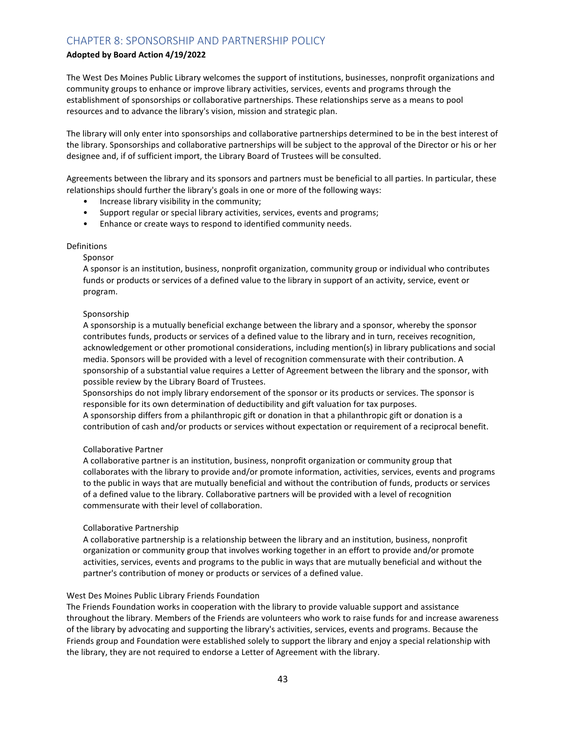# CHAPTER 8: SPONSORSHIP AND PARTNERSHIP POLICY

## **Adopted by Board Action 4/19/2022**

The West Des Moines Public Library welcomes the support of institutions, businesses, nonprofit organizations and community groups to enhance or improve library activities, services, events and programs through the establishment of sponsorships or collaborative partnerships. These relationships serve as a means to pool resources and to advance the library's vision, mission and strategic plan.

The library will only enter into sponsorships and collaborative partnerships determined to be in the best interest of the library. Sponsorships and collaborative partnerships will be subject to the approval of the Director or his or her designee and, if of sufficient import, the Library Board of Trustees will be consulted.

Agreements between the library and its sponsors and partners must be beneficial to all parties. In particular, these relationships should further the library's goals in one or more of the following ways:

- Increase library visibility in the community;
- Support regular or special library activities, services, events and programs;
- Enhance or create ways to respond to identified community needs.

## Definitions

#### Sponsor

A sponsor is an institution, business, nonprofit organization, community group or individual who contributes funds or products or services of a defined value to the library in support of an activity, service, event or program.

## Sponsorship

A sponsorship is a mutually beneficial exchange between the library and a sponsor, whereby the sponsor contributes funds, products or services of a defined value to the library and in turn, receives recognition, acknowledgement or other promotional considerations, including mention(s) in library publications and social media. Sponsors will be provided with a level of recognition commensurate with their contribution. A sponsorship of a substantial value requires a Letter of Agreement between the library and the sponsor, with possible review by the Library Board of Trustees.

Sponsorships do not imply library endorsement of the sponsor or its products or services. The sponsor is responsible for its own determination of deductibility and gift valuation for tax purposes.

A sponsorship differs from a philanthropic gift or donation in that a philanthropic gift or donation is a contribution of cash and/or products or services without expectation or requirement of a reciprocal benefit.

#### Collaborative Partner

A collaborative partner is an institution, business, nonprofit organization or community group that collaborates with the library to provide and/or promote information, activities, services, events and programs to the public in ways that are mutually beneficial and without the contribution of funds, products or services of a defined value to the library. Collaborative partners will be provided with a level of recognition commensurate with their level of collaboration.

#### Collaborative Partnership

A collaborative partnership is a relationship between the library and an institution, business, nonprofit organization or community group that involves working together in an effort to provide and/or promote activities, services, events and programs to the public in ways that are mutually beneficial and without the partner's contribution of money or products or services of a defined value.

#### West Des Moines Public Library Friends Foundation

The Friends Foundation works in cooperation with the library to provide valuable support and assistance throughout the library. Members of the Friends are volunteers who work to raise funds for and increase awareness of the library by advocating and supporting the library's activities, services, events and programs. Because the Friends group and Foundation were established solely to support the library and enjoy a special relationship with the library, they are not required to endorse a Letter of Agreement with the library.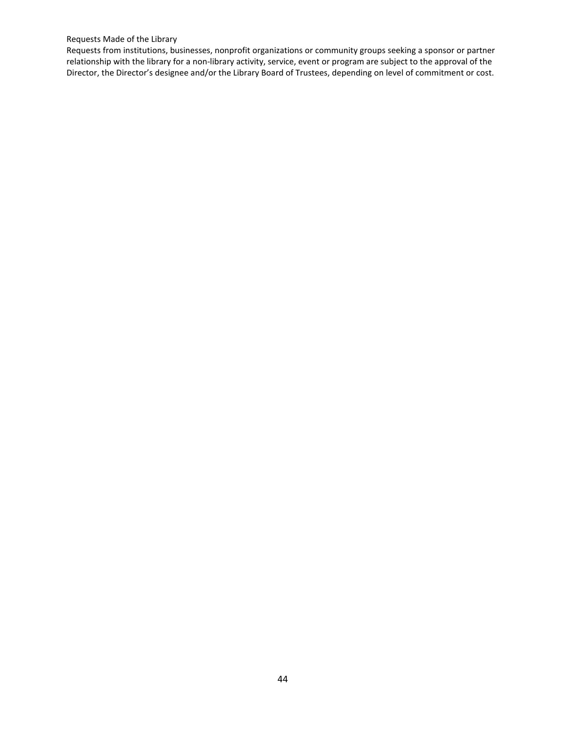## Requests Made of the Library

Requests from institutions, businesses, nonprofit organizations or community groups seeking a sponsor or partner relationship with the library for a non-library activity, service, event or program are subject to the approval of the Director, the Director's designee and/or the Library Board of Trustees, depending on level of commitment or cost.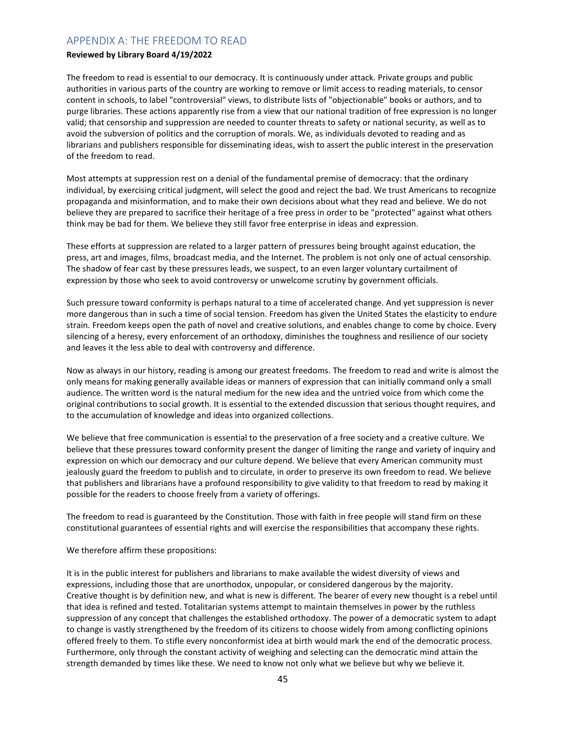# APPENDIX A: THE FREEDOM TO READ

### **Reviewed by Library Board 4/19/2022**

The freedom to read is essential to our democracy. It is continuously under attack. Private groups and public authorities in various parts of the country are working to remove or limit access to reading materials, to censor content in schools, to label "controversial" views, to distribute lists of "objectionable" books or authors, and to purge libraries. These actions apparently rise from a view that our national tradition of free expression is no longer valid; that censorship and suppression are needed to counter threats to safety or national security, as well as to avoid the subversion of politics and the corruption of morals. We, as individuals devoted to reading and as librarians and publishers responsible for disseminating ideas, wish to assert the public interest in the preservation of the freedom to read.

Most attempts at suppression rest on a denial of the fundamental premise of democracy: that the ordinary individual, by exercising critical judgment, will select the good and reject the bad. We trust Americans to recognize propaganda and misinformation, and to make their own decisions about what they read and believe. We do not believe they are prepared to sacrifice their heritage of a free press in order to be "protected" against what others think may be bad for them. We believe they still favor free enterprise in ideas and expression.

These efforts at suppression are related to a larger pattern of pressures being brought against education, the press, art and images, films, broadcast media, and the Internet. The problem is not only one of actual censorship. The shadow of fear cast by these pressures leads, we suspect, to an even larger voluntary curtailment of expression by those who seek to avoid controversy or unwelcome scrutiny by government officials.

Such pressure toward conformity is perhaps natural to a time of accelerated change. And yet suppression is never more dangerous than in such a time of social tension. Freedom has given the United States the elasticity to endure strain. Freedom keeps open the path of novel and creative solutions, and enables change to come by choice. Every silencing of a heresy, every enforcement of an orthodoxy, diminishes the toughness and resilience of our society and leaves it the less able to deal with controversy and difference.

Now as always in our history, reading is among our greatest freedoms. The freedom to read and write is almost the only means for making generally available ideas or manners of expression that can initially command only a small audience. The written word is the natural medium for the new idea and the untried voice from which come the original contributions to social growth. It is essential to the extended discussion that serious thought requires, and to the accumulation of knowledge and ideas into organized collections.

We believe that free communication is essential to the preservation of a free society and a creative culture. We believe that these pressures toward conformity present the danger of limiting the range and variety of inquiry and expression on which our democracy and our culture depend. We believe that every American community must jealously guard the freedom to publish and to circulate, in order to preserve its own freedom to read. We believe that publishers and librarians have a profound responsibility to give validity to that freedom to read by making it possible for the readers to choose freely from a variety of offerings.

The freedom to read is guaranteed by the Constitution. Those with faith in free people will stand firm on these constitutional guarantees of essential rights and will exercise the responsibilities that accompany these rights.

#### We therefore affirm these propositions:

It is in the public interest for publishers and librarians to make available the widest diversity of views and expressions, including those that are unorthodox, unpopular, or considered dangerous by the majority. Creative thought is by definition new, and what is new is different. The bearer of every new thought is a rebel until that idea is refined and tested. Totalitarian systems attempt to maintain themselves in power by the ruthless suppression of any concept that challenges the established orthodoxy. The power of a democratic system to adapt to change is vastly strengthened by the freedom of its citizens to choose widely from among conflicting opinions offered freely to them. To stifle every nonconformist idea at birth would mark the end of the democratic process. Furthermore, only through the constant activity of weighing and selecting can the democratic mind attain the strength demanded by times like these. We need to know not only what we believe but why we believe it.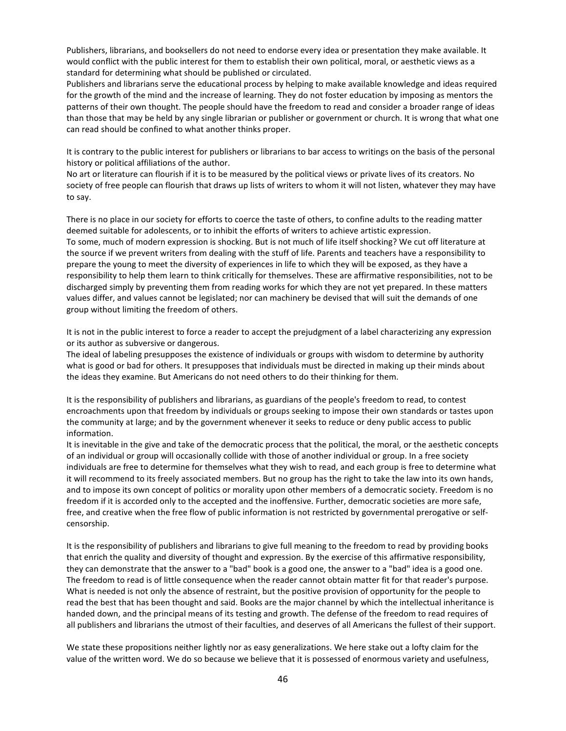Publishers, librarians, and booksellers do not need to endorse every idea or presentation they make available. It would conflict with the public interest for them to establish their own political, moral, or aesthetic views as a standard for determining what should be published or circulated.

Publishers and librarians serve the educational process by helping to make available knowledge and ideas required for the growth of the mind and the increase of learning. They do not foster education by imposing as mentors the patterns of their own thought. The people should have the freedom to read and consider a broader range of ideas than those that may be held by any single librarian or publisher or government or church. It is wrong that what one can read should be confined to what another thinks proper.

It is contrary to the public interest for publishers or librarians to bar access to writings on the basis of the personal history or political affiliations of the author.

No art or literature can flourish if it is to be measured by the political views or private lives of its creators. No society of free people can flourish that draws up lists of writers to whom it will not listen, whatever they may have to say.

There is no place in our society for efforts to coerce the taste of others, to confine adults to the reading matter deemed suitable for adolescents, or to inhibit the efforts of writers to achieve artistic expression. To some, much of modern expression is shocking. But is not much of life itself shocking? We cut off literature at the source if we prevent writers from dealing with the stuff of life. Parents and teachers have a responsibility to prepare the young to meet the diversity of experiences in life to which they will be exposed, as they have a responsibility to help them learn to think critically for themselves. These are affirmative responsibilities, not to be discharged simply by preventing them from reading works for which they are not yet prepared. In these matters values differ, and values cannot be legislated; nor can machinery be devised that will suit the demands of one group without limiting the freedom of others.

It is not in the public interest to force a reader to accept the prejudgment of a label characterizing any expression or its author as subversive or dangerous.

The ideal of labeling presupposes the existence of individuals or groups with wisdom to determine by authority what is good or bad for others. It presupposes that individuals must be directed in making up their minds about the ideas they examine. But Americans do not need others to do their thinking for them.

It is the responsibility of publishers and librarians, as guardians of the people's freedom to read, to contest encroachments upon that freedom by individuals or groups seeking to impose their own standards or tastes upon the community at large; and by the government whenever it seeks to reduce or deny public access to public information.

It is inevitable in the give and take of the democratic process that the political, the moral, or the aesthetic concepts of an individual or group will occasionally collide with those of another individual or group. In a free society individuals are free to determine for themselves what they wish to read, and each group is free to determine what it will recommend to its freely associated members. But no group has the right to take the law into its own hands, and to impose its own concept of politics or morality upon other members of a democratic society. Freedom is no freedom if it is accorded only to the accepted and the inoffensive. Further, democratic societies are more safe, free, and creative when the free flow of public information is not restricted by governmental prerogative or selfcensorship.

It is the responsibility of publishers and librarians to give full meaning to the freedom to read by providing books that enrich the quality and diversity of thought and expression. By the exercise of this affirmative responsibility, they can demonstrate that the answer to a "bad" book is a good one, the answer to a "bad" idea is a good one. The freedom to read is of little consequence when the reader cannot obtain matter fit for that reader's purpose. What is needed is not only the absence of restraint, but the positive provision of opportunity for the people to read the best that has been thought and said. Books are the major channel by which the intellectual inheritance is handed down, and the principal means of its testing and growth. The defense of the freedom to read requires of all publishers and librarians the utmost of their faculties, and deserves of all Americans the fullest of their support.

We state these propositions neither lightly nor as easy generalizations. We here stake out a lofty claim for the value of the written word. We do so because we believe that it is possessed of enormous variety and usefulness,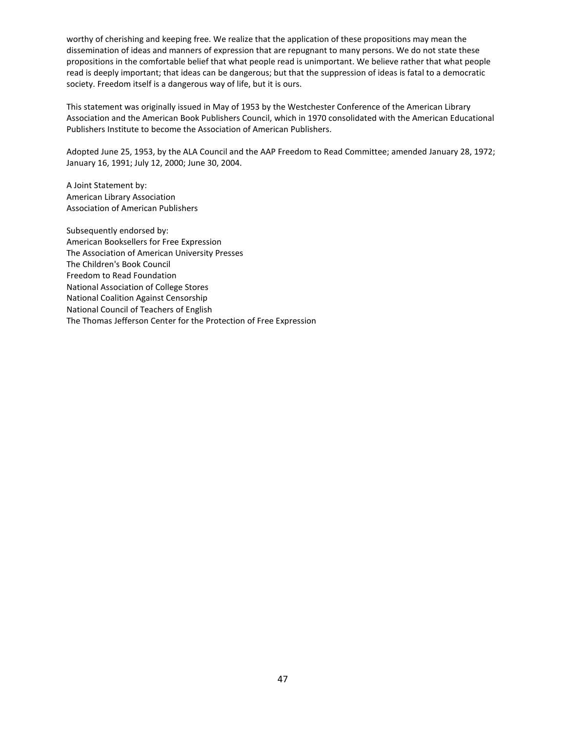worthy of cherishing and keeping free. We realize that the application of these propositions may mean the dissemination of ideas and manners of expression that are repugnant to many persons. We do not state these propositions in the comfortable belief that what people read is unimportant. We believe rather that what people read is deeply important; that ideas can be dangerous; but that the suppression of ideas is fatal to a democratic society. Freedom itself is a dangerous way of life, but it is ours.

This statement was originally issued in May of 1953 by the Westchester Conference of the American Library Association and the American Book Publishers Council, which in 1970 consolidated with the American Educational Publishers Institute to become the Association of American Publishers.

Adopted June 25, 1953, by the ALA Council and the AAP Freedom to Read Committee; amended January 28, 1972; January 16, 1991; July 12, 2000; June 30, 2004.

A Joint Statement by: American Library Association Association of American Publishers

Subsequently endorsed by: American Booksellers for Free Expression The Association of American University Presses The Children's Book Council Freedom to Read Foundation National Association of College Stores National Coalition Against Censorship National Council of Teachers of English The Thomas Jefferson Center for the Protection of Free Expression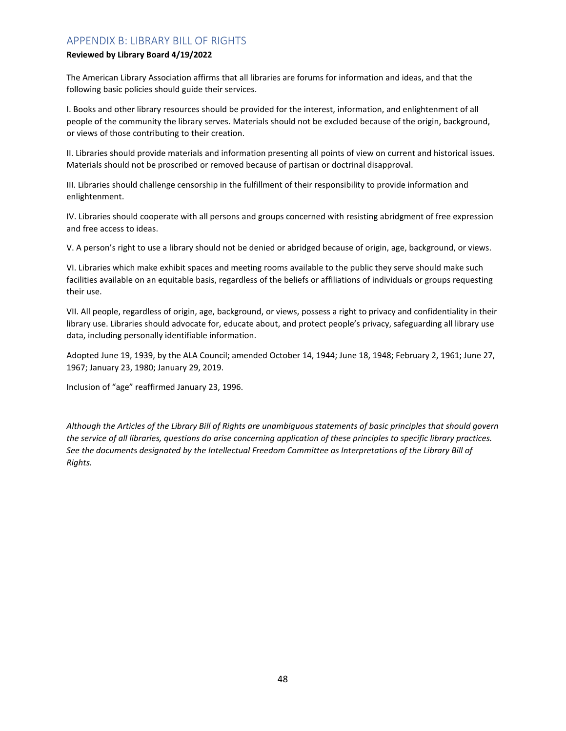# APPENDIX B: LIBRARY BILL OF RIGHTS

# **Reviewed by Library Board 4/19/2022**

The American Library Association affirms that all libraries are forums for information and ideas, and that the following basic policies should guide their services.

I. Books and other library resources should be provided for the interest, information, and enlightenment of all people of the community the library serves. Materials should not be excluded because of the origin, background, or views of those contributing to their creation.

II. Libraries should provide materials and information presenting all points of view on current and historical issues. Materials should not be proscribed or removed because of partisan or doctrinal disapproval.

III. Libraries should challenge censorship in the fulfillment of their responsibility to provide information and enlightenment.

IV. Libraries should cooperate with all persons and groups concerned with resisting abridgment of free expression and free access to ideas.

V. A person's right to use a library should not be denied or abridged because of origin, age, background, or views.

VI. Libraries which make exhibit spaces and meeting rooms available to the public they serve should make such facilities available on an equitable basis, regardless of the beliefs or affiliations of individuals or groups requesting their use.

VII. All people, regardless of origin, age, background, or views, possess a right to privacy and confidentiality in their library use. Libraries should advocate for, educate about, and protect people's privacy, safeguarding all library use data, including personally identifiable information.

Adopted June 19, 1939, by the ALA Council; amended October 14, 1944; June 18, 1948; February 2, 1961; June 27, 1967; January 23, 1980; January 29, 2019.

Inclusion of "age" reaffirmed January 23, 1996.

*Although the Articles of the Library Bill of Rights are unambiguous statements of basic principles that should govern the service of all libraries, questions do arise concerning application of these principles to specific library practices. See the documents designated by the Intellectual Freedom Committee as Interpretations of the Library Bill of Rights.*